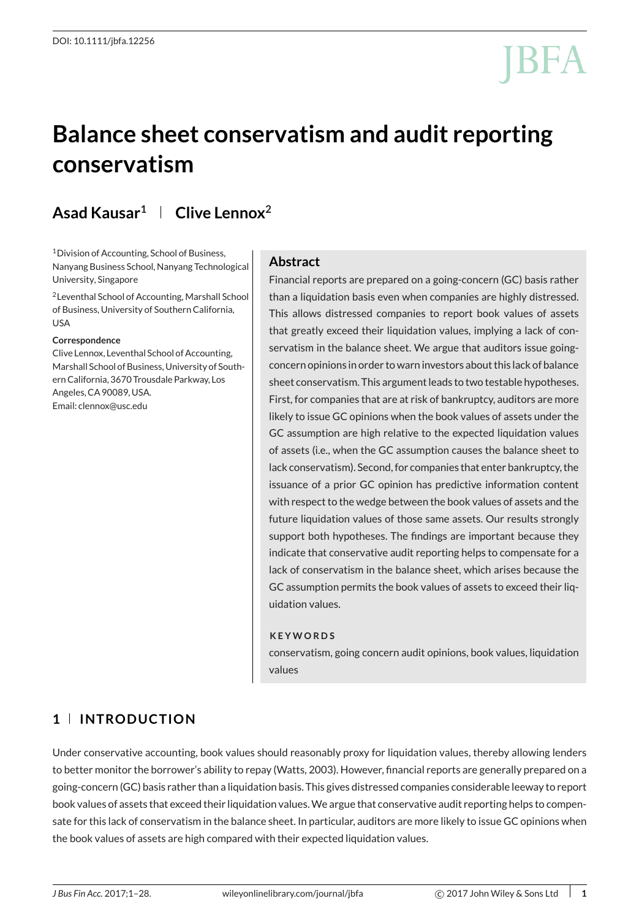# **Balance sheet conservatism and audit reporting conservatism**

## **Asad Kausar1 Clive Lennox2**

1Division of Accounting, School of Business, Nanyang Business School, Nanyang Technological University, Singapore

2Leventhal School of Accounting, Marshall School of Business, University of Southern California, USA

#### **Correspondence**

Clive Lennox, Leventhal School of Accounting, Marshall School of Business, University of Southern California, 3670 Trousdale Parkway, Los Angeles, CA 90089, USA. Email: clennox@usc.edu

#### **Abstract**

Financial reports are prepared on a going-concern (GC) basis rather than a liquidation basis even when companies are highly distressed. This allows distressed companies to report book values of assets that greatly exceed their liquidation values, implying a lack of conservatism in the balance sheet. We argue that auditors issue goingconcern opinions in order to warn investors about this lack of balance sheet conservatism. This argument leads to two testable hypotheses. First, for companies that are at risk of bankruptcy, auditors are more likely to issue GC opinions when the book values of assets under the GC assumption are high relative to the expected liquidation values of assets (i.e., when the GC assumption causes the balance sheet to lack conservatism). Second, for companies that enter bankruptcy, the issuance of a prior GC opinion has predictive information content with respect to the wedge between the book values of assets and the future liquidation values of those same assets. Our results strongly support both hypotheses. The findings are important because they indicate that conservative audit reporting helps to compensate for a lack of conservatism in the balance sheet, which arises because the GC assumption permits the book values of assets to exceed their liquidation values.

#### **KEYWORDS**

conservatism, going concern audit opinions, book values, liquidation values

#### **1 INTRODUCTION**

Under conservative accounting, book values should reasonably proxy for liquidation values, thereby allowing lenders to better monitor the borrower's ability to repay (Watts, 2003). However, financial reports are generally prepared on a going-concern (GC) basis rather than a liquidation basis. This gives distressed companies considerable leeway to report book values of assets that exceed their liquidation values.We argue that conservative audit reporting helps to compensate for this lack of conservatism in the balance sheet. In particular, auditors are more likely to issue GC opinions when the book values of assets are high compared with their expected liquidation values.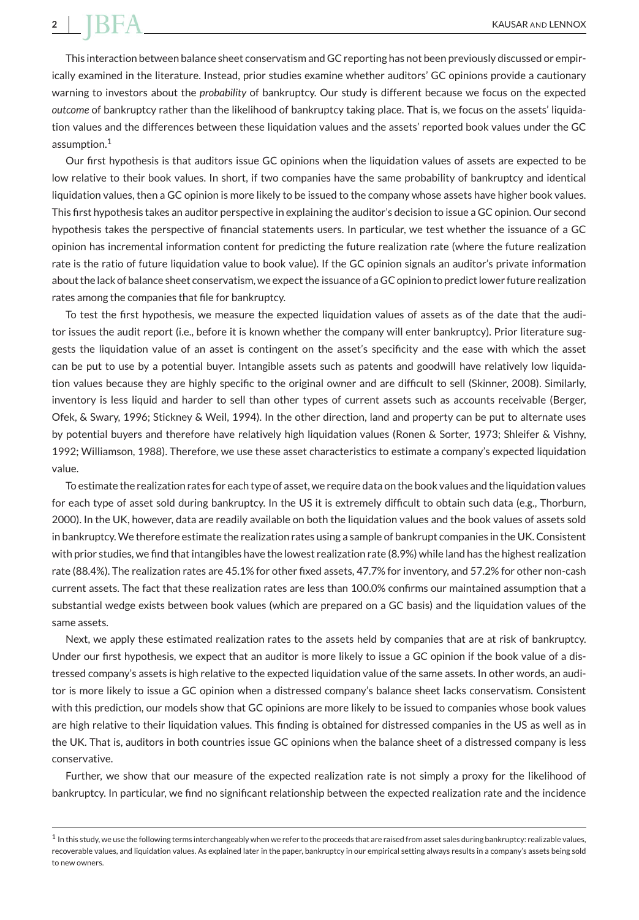This interaction between balance sheet conservatism and GC reporting has not been previously discussed or empirically examined in the literature. Instead, prior studies examine whether auditors' GC opinions provide a cautionary warning to investors about the *probability* of bankruptcy. Our study is different because we focus on the expected *outcome* of bankruptcy rather than the likelihood of bankruptcy taking place. That is, we focus on the assets' liquidation values and the differences between these liquidation values and the assets' reported book values under the GC assumption.<sup>1</sup>

Our first hypothesis is that auditors issue GC opinions when the liquidation values of assets are expected to be low relative to their book values. In short, if two companies have the same probability of bankruptcy and identical liquidation values, then a GC opinion is more likely to be issued to the company whose assets have higher book values. This first hypothesis takes an auditor perspective in explaining the auditor's decision to issue a GC opinion. Our second hypothesis takes the perspective of financial statements users. In particular, we test whether the issuance of a GC opinion has incremental information content for predicting the future realization rate (where the future realization rate is the ratio of future liquidation value to book value). If the GC opinion signals an auditor's private information about the lack of balance sheet conservatism, we expect the issuance of a GC opinion to predict lower future realization rates among the companies that file for bankruptcy.

To test the first hypothesis, we measure the expected liquidation values of assets as of the date that the auditor issues the audit report (i.e., before it is known whether the company will enter bankruptcy). Prior literature suggests the liquidation value of an asset is contingent on the asset's specificity and the ease with which the asset can be put to use by a potential buyer. Intangible assets such as patents and goodwill have relatively low liquidation values because they are highly specific to the original owner and are difficult to sell (Skinner, 2008). Similarly, inventory is less liquid and harder to sell than other types of current assets such as accounts receivable (Berger, Ofek, & Swary, 1996; Stickney & Weil, 1994). In the other direction, land and property can be put to alternate uses by potential buyers and therefore have relatively high liquidation values (Ronen & Sorter, 1973; Shleifer & Vishny, 1992; Williamson, 1988). Therefore, we use these asset characteristics to estimate a company's expected liquidation value.

To estimate the realization rates for each type of asset, we require data on the book values and the liquidation values for each type of asset sold during bankruptcy. In the US it is extremely difficult to obtain such data (e.g., Thorburn, 2000). In the UK, however, data are readily available on both the liquidation values and the book values of assets sold in bankruptcy.We therefore estimate the realization rates using a sample of bankrupt companies in the UK. Consistent with prior studies, we find that intangibles have the lowest realization rate (8.9%) while land has the highest realization rate (88.4%). The realization rates are 45.1% for other fixed assets, 47.7% for inventory, and 57.2% for other non-cash current assets. The fact that these realization rates are less than 100.0% confirms our maintained assumption that a substantial wedge exists between book values (which are prepared on a GC basis) and the liquidation values of the same assets.

Next, we apply these estimated realization rates to the assets held by companies that are at risk of bankruptcy. Under our first hypothesis, we expect that an auditor is more likely to issue a GC opinion if the book value of a distressed company's assets is high relative to the expected liquidation value of the same assets. In other words, an auditor is more likely to issue a GC opinion when a distressed company's balance sheet lacks conservatism. Consistent with this prediction, our models show that GC opinions are more likely to be issued to companies whose book values are high relative to their liquidation values. This finding is obtained for distressed companies in the US as well as in the UK. That is, auditors in both countries issue GC opinions when the balance sheet of a distressed company is less conservative.

Further, we show that our measure of the expected realization rate is not simply a proxy for the likelihood of bankruptcy. In particular, we find no significant relationship between the expected realization rate and the incidence

 $1$  In this study, we use the following terms interchangeably when we refer to the proceeds that are raised from asset sales during bankruptcy: realizable values, recoverable values, and liquidation values. As explained later in the paper, bankruptcy in our empirical setting always results in a company's assets being sold to new owners.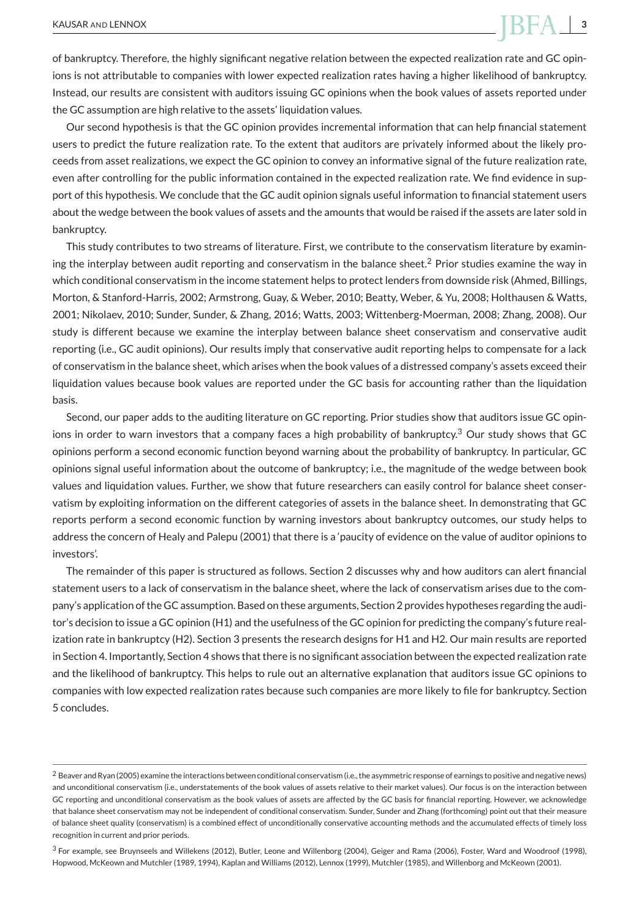of bankruptcy. Therefore, the highly significant negative relation between the expected realization rate and GC opinions is not attributable to companies with lower expected realization rates having a higher likelihood of bankruptcy. Instead, our results are consistent with auditors issuing GC opinions when the book values of assets reported under the GC assumption are high relative to the assets' liquidation values.

Our second hypothesis is that the GC opinion provides incremental information that can help financial statement users to predict the future realization rate. To the extent that auditors are privately informed about the likely proceeds from asset realizations, we expect the GC opinion to convey an informative signal of the future realization rate, even after controlling for the public information contained in the expected realization rate. We find evidence in support of this hypothesis. We conclude that the GC audit opinion signals useful information to financial statement users about the wedge between the book values of assets and the amounts that would be raised if the assets are later sold in bankruptcy.

This study contributes to two streams of literature. First, we contribute to the conservatism literature by examining the interplay between audit reporting and conservatism in the balance sheet.<sup>2</sup> Prior studies examine the way in which conditional conservatism in the income statement helps to protect lenders from downside risk (Ahmed, Billings, Morton, & Stanford-Harris, 2002; Armstrong, Guay, & Weber, 2010; Beatty, Weber, & Yu, 2008; Holthausen & Watts, 2001; Nikolaev, 2010; Sunder, Sunder, & Zhang, 2016; Watts, 2003; Wittenberg-Moerman, 2008; Zhang, 2008). Our study is different because we examine the interplay between balance sheet conservatism and conservative audit reporting (i.e., GC audit opinions). Our results imply that conservative audit reporting helps to compensate for a lack of conservatism in the balance sheet, which arises when the book values of a distressed company's assets exceed their liquidation values because book values are reported under the GC basis for accounting rather than the liquidation basis.

Second, our paper adds to the auditing literature on GC reporting. Prior studies show that auditors issue GC opinions in order to warn investors that a company faces a high probability of bankruptcy.<sup>3</sup> Our study shows that GC opinions perform a second economic function beyond warning about the probability of bankruptcy. In particular, GC opinions signal useful information about the outcome of bankruptcy; i.e., the magnitude of the wedge between book values and liquidation values. Further, we show that future researchers can easily control for balance sheet conservatism by exploiting information on the different categories of assets in the balance sheet. In demonstrating that GC reports perform a second economic function by warning investors about bankruptcy outcomes, our study helps to address the concern of Healy and Palepu (2001) that there is a 'paucity of evidence on the value of auditor opinions to investors'.

The remainder of this paper is structured as follows. Section 2 discusses why and how auditors can alert financial statement users to a lack of conservatism in the balance sheet, where the lack of conservatism arises due to the company's application of the GC assumption. Based on these arguments, Section 2 provides hypotheses regarding the auditor's decision to issue a GC opinion (H1) and the usefulness of the GC opinion for predicting the company's future realization rate in bankruptcy (H2). Section 3 presents the research designs for H1 and H2. Our main results are reported in Section 4. Importantly, Section 4 shows that there is no significant association between the expected realization rate and the likelihood of bankruptcy. This helps to rule out an alternative explanation that auditors issue GC opinions to companies with low expected realization rates because such companies are more likely to file for bankruptcy. Section 5 concludes.

<sup>2</sup> Beaver and Ryan (2005) examine the interactions between conditional conservatism (i.e., the asymmetric response of earnings to positive and negative news) and unconditional conservatism (i.e., understatements of the book values of assets relative to their market values). Our focus is on the interaction between GC reporting and unconditional conservatism as the book values of assets are affected by the GC basis for financial reporting. However, we acknowledge that balance sheet conservatism may not be independent of conditional conservatism. Sunder, Sunder and Zhang (forthcoming) point out that their measure of balance sheet quality (conservatism) is a combined effect of unconditionally conservative accounting methods and the accumulated effects of timely loss recognition in current and prior periods.

<sup>3</sup> For example, see Bruynseels and Willekens (2012), Butler, Leone and Willenborg (2004), Geiger and Rama (2006), Foster, Ward and Woodroof (1998), Hopwood, McKeown and Mutchler (1989, 1994), Kaplan and Williams (2012), Lennox (1999), Mutchler (1985), and Willenborg and McKeown (2001).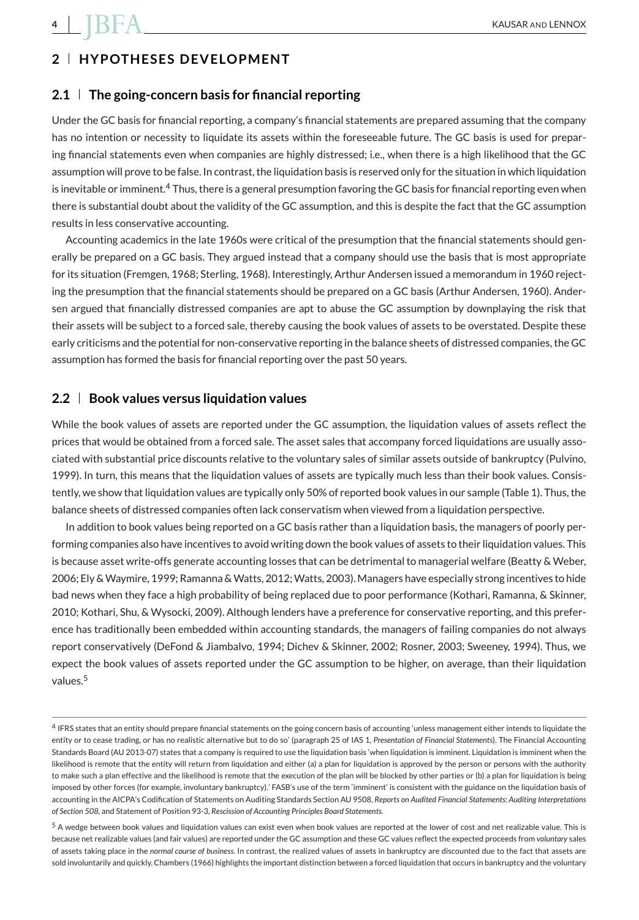### **2 HYPOTHESES DEVELOPMENT**

#### **2.1 The going-concern basis for financial reporting**

Under the GC basis for financial reporting, a company's financial statements are prepared assuming that the company has no intention or necessity to liquidate its assets within the foreseeable future. The GC basis is used for preparing financial statements even when companies are highly distressed; i.e., when there is a high likelihood that the GC assumption will prove to be false. In contrast, the liquidation basis is reserved only for the situation in which liquidation is inevitable or imminent.<sup>4</sup> Thus, there is a general presumption favoring the GC basis for financial reporting even when there is substantial doubt about the validity of the GC assumption, and this is despite the fact that the GC assumption results in less conservative accounting.

Accounting academics in the late 1960s were critical of the presumption that the financial statements should generally be prepared on a GC basis. They argued instead that a company should use the basis that is most appropriate for its situation (Fremgen, 1968; Sterling, 1968). Interestingly, Arthur Andersen issued a memorandum in 1960 rejecting the presumption that the financial statements should be prepared on a GC basis (Arthur Andersen, 1960). Andersen argued that financially distressed companies are apt to abuse the GC assumption by downplaying the risk that their assets will be subject to a forced sale, thereby causing the book values of assets to be overstated. Despite these early criticisms and the potential for non-conservative reporting in the balance sheets of distressed companies, the GC assumption has formed the basis for financial reporting over the past 50 years.

#### **2.2 Book values versus liquidation values**

While the book values of assets are reported under the GC assumption, the liquidation values of assets reflect the prices that would be obtained from a forced sale. The asset sales that accompany forced liquidations are usually associated with substantial price discounts relative to the voluntary sales of similar assets outside of bankruptcy (Pulvino, 1999). In turn, this means that the liquidation values of assets are typically much less than their book values. Consistently, we show that liquidation values are typically only 50% of reported book values in our sample (Table 1). Thus, the balance sheets of distressed companies often lack conservatism when viewed from a liquidation perspective.

In addition to book values being reported on a GC basis rather than a liquidation basis, the managers of poorly performing companies also have incentives to avoid writing down the book values of assets to their liquidation values. This is because asset write-offs generate accounting losses that can be detrimental to managerial welfare (Beatty & Weber, 2006; Ely &Waymire, 1999; Ramanna &Watts, 2012;Watts, 2003). Managers have especially strong incentives to hide bad news when they face a high probability of being replaced due to poor performance (Kothari, Ramanna, & Skinner, 2010; Kothari, Shu, & Wysocki, 2009). Although lenders have a preference for conservative reporting, and this preference has traditionally been embedded within accounting standards, the managers of failing companies do not always report conservatively (DeFond & Jiambalvo, 1994; Dichev & Skinner, 2002; Rosner, 2003; Sweeney, 1994). Thus, we expect the book values of assets reported under the GC assumption to be higher, on average, than their liquidation values.<sup>5</sup>

<sup>4</sup> IFRS states that an entity should prepare financial statements on the going concern basis of accounting 'unless management either intends to liquidate the entity or to cease trading, or has no realistic alternative but to do so' (paragraph 25 of IAS 1, *Presentation of Financial Statements*). The Financial Accounting Standards Board (AU 2013-07) states that a company is required to use the liquidation basis 'when liquidation is imminent. Liquidation is imminent when the likelihood is remote that the entity will return from liquidation and either (a) a plan for liquidation is approved by the person or persons with the authority to make such a plan effective and the likelihood is remote that the execution of the plan will be blocked by other parties or (b) a plan for liquidation is being imposed by other forces (for example, involuntary bankruptcy).' FASB's use of the term 'imminent' is consistent with the guidance on the liquidation basis of accounting in the AICPA's Codification of Statements on Auditing Standards Section AU 9508, *Reports on Audited Financial Statements: Auditing Interpretations of Section 508,* and Statement of Position 93-3, *Rescission of Accounting Principles Board Statements.*

<sup>5</sup> A wedge between book values and liquidation values can exist even when book values are reported at the lower of cost and net realizable value. This is because net realizable values (and fair values) are reported under the GC assumption and these GC values reflect the expected proceeds from *voluntary* sales of assets taking place in the *normal course of business*. In contrast, the realized values of assets in bankruptcy are discounted due to the fact that assets are sold involuntarily and quickly. Chambers (1966) highlights the important distinction between a forced liquidation that occurs in bankruptcy and the voluntary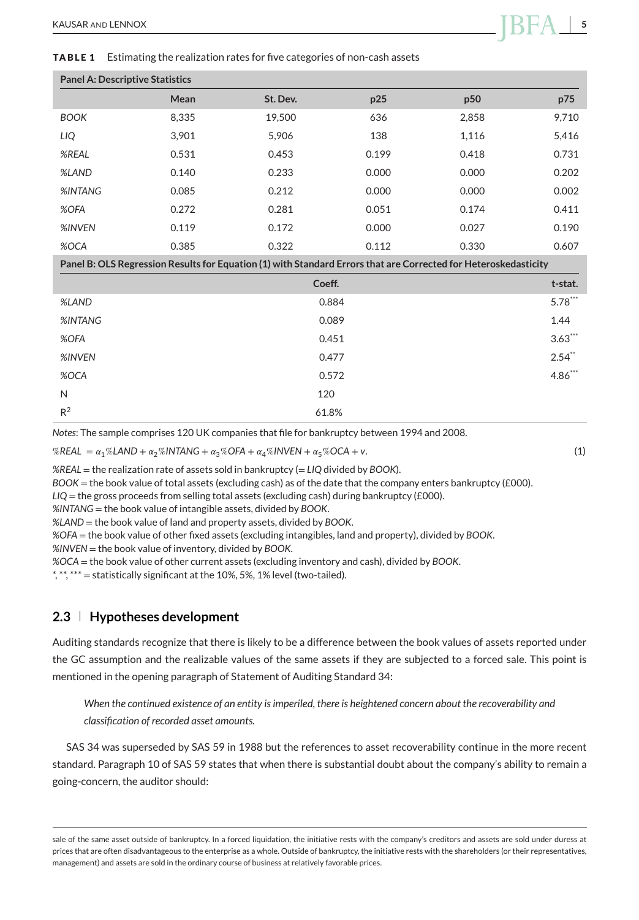**TABLE 1** Estimating the realization rates for five categories of non-cash assets

| <b>Panel A: Descriptive Statistics</b> |       |          |       |       |       |
|----------------------------------------|-------|----------|-------|-------|-------|
|                                        | Mean  | St. Dev. | p25   | p50   | p75   |
| <b>BOOK</b>                            | 8.335 | 19.500   | 636   | 2.858 | 9.710 |
| LIQ                                    | 3.901 | 5.906    | 138   | 1,116 | 5,416 |
| %REAL                                  | 0.531 | 0.453    | 0.199 | 0.418 | 0.731 |
| %LAND                                  | 0.140 | 0.233    | 0.000 | 0.000 | 0.202 |
| %INTANG                                | 0.085 | 0.212    | 0.000 | 0.000 | 0.002 |
| %OFA                                   | 0.272 | 0.281    | 0.051 | 0.174 | 0.411 |
| %INVEN                                 | 0.119 | 0.172    | 0.000 | 0.027 | 0.190 |
| %OCA                                   | 0.385 | 0.322    | 0.112 | 0.330 | 0.607 |

**Panel B: OLS Regression Results for Equation (1) with Standard Errors that are Corrected for Heteroskedasticity**

|                | Coeff. | t-stat.   |
|----------------|--------|-----------|
| %LAND          | 0.884  | $5.78***$ |
| %INTANG        | 0.089  | 1.44      |
| %OFA           | 0.451  | $3.63***$ |
| %INVEN         | 0.477  | $2.54**$  |
| %OCA           | 0.572  | $4.86***$ |
| N              | 120    |           |
| R <sup>2</sup> | 61.8%  |           |

*Notes*: The sample comprises 120 UK companies that file for bankruptcy between 1994 and 2008.

 $%REAL = \alpha_1\% LAND + \alpha_2\%INTANG + \alpha_3\% OFA + \alpha_4\% INVEN + \alpha_5\% OCA + v.$  (1)

*%REAL* = the realization rate of assets sold in bankruptcy (= *LIQ* divided by *BOOK*).

*BOOK* = the book value of total assets (excluding cash) as of the date that the company enters bankruptcy (£000).

*LIQ* = the gross proceeds from selling total assets (excluding cash) during bankruptcy (£000).

*%INTANG* = the book value of intangible assets, divided by *BOOK*.

*%LAND* = the book value of land and property assets, divided by *BOOK*.

*%OFA* = the book value of other fixed assets (excluding intangibles, land and property), divided by *BOOK*.

*%INVEN* = the book value of inventory, divided by *BOOK*.

*%OCA* = the book value of other current assets (excluding inventory and cash), divided by *BOOK*.

\*, \*\*, \*\*\* = statistically significant at the 10%, 5%, 1% level (two-tailed).

#### **2.3 Hypotheses development**

Auditing standards recognize that there is likely to be a difference between the book values of assets reported under the GC assumption and the realizable values of the same assets if they are subjected to a forced sale. This point is mentioned in the opening paragraph of Statement of Auditing Standard 34:

*When the continued existence of an entity is imperiled, there is heightened concern about the recoverability and classification of recorded asset amounts.*

SAS 34 was superseded by SAS 59 in 1988 but the references to asset recoverability continue in the more recent standard. Paragraph 10 of SAS 59 states that when there is substantial doubt about the company's ability to remain a going-concern, the auditor should:

sale of the same asset outside of bankruptcy. In a forced liquidation, the initiative rests with the company's creditors and assets are sold under duress at prices that are often disadvantageous to the enterprise as a whole. Outside of bankruptcy, the initiative rests with the shareholders (or their representatives, management) and assets are sold in the ordinary course of business at relatively favorable prices.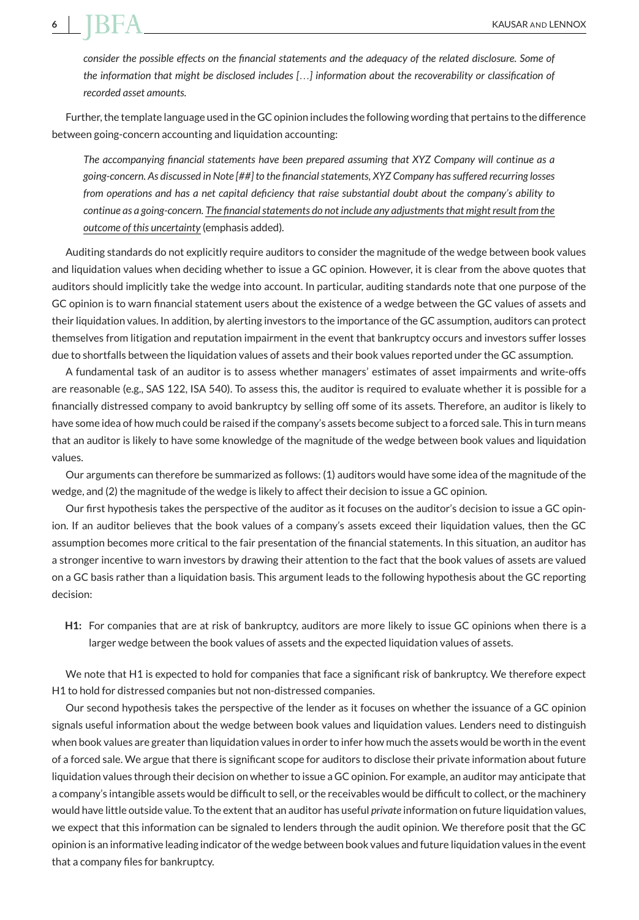*consider the possible effects on the financial statements and the adequacy of the related disclosure. Some of the information that might be disclosed includes [*…*] information about the recoverability or classification of recorded asset amounts.*

Further, the template language used in the GC opinion includes the following wording that pertains to the difference between going-concern accounting and liquidation accounting:

*The accompanying financial statements have been prepared assuming that XYZ Company will continue as a going-concern. As discussed in Note [##] to the financial statements, XYZ Company has suffered recurring losses from operations and has a net capital deficiency that raise substantial doubt about the company's ability to continue as a going-concern. The financialstatements do not include any adjustmentsthat might result from the outcome of this uncertainty* (emphasis added)*.*

Auditing standards do not explicitly require auditors to consider the magnitude of the wedge between book values and liquidation values when deciding whether to issue a GC opinion. However, it is clear from the above quotes that auditors should implicitly take the wedge into account. In particular, auditing standards note that one purpose of the GC opinion is to warn financial statement users about the existence of a wedge between the GC values of assets and their liquidation values. In addition, by alerting investors to the importance of the GC assumption, auditors can protect themselves from litigation and reputation impairment in the event that bankruptcy occurs and investors suffer losses due to shortfalls between the liquidation values of assets and their book values reported under the GC assumption.

A fundamental task of an auditor is to assess whether managers' estimates of asset impairments and write-offs are reasonable (e.g., SAS 122, ISA 540). To assess this, the auditor is required to evaluate whether it is possible for a financially distressed company to avoid bankruptcy by selling off some of its assets. Therefore, an auditor is likely to have some idea of how much could be raised if the company's assets become subject to a forced sale. This in turn means that an auditor is likely to have some knowledge of the magnitude of the wedge between book values and liquidation values.

Our arguments can therefore be summarized as follows: (1) auditors would have some idea of the magnitude of the wedge, and (2) the magnitude of the wedge is likely to affect their decision to issue a GC opinion.

Our first hypothesis takes the perspective of the auditor as it focuses on the auditor's decision to issue a GC opinion. If an auditor believes that the book values of a company's assets exceed their liquidation values, then the GC assumption becomes more critical to the fair presentation of the financial statements. In this situation, an auditor has a stronger incentive to warn investors by drawing their attention to the fact that the book values of assets are valued on a GC basis rather than a liquidation basis. This argument leads to the following hypothesis about the GC reporting decision:

**H1:** For companies that are at risk of bankruptcy, auditors are more likely to issue GC opinions when there is a larger wedge between the book values of assets and the expected liquidation values of assets.

We note that H1 is expected to hold for companies that face a significant risk of bankruptcy. We therefore expect H1 to hold for distressed companies but not non-distressed companies.

Our second hypothesis takes the perspective of the lender as it focuses on whether the issuance of a GC opinion signals useful information about the wedge between book values and liquidation values. Lenders need to distinguish when book values are greater than liquidation values in order to infer how much the assets would be worth in the event of a forced sale. We argue that there is significant scope for auditors to disclose their private information about future liquidation values through their decision on whether to issue a GC opinion. For example, an auditor may anticipate that a company's intangible assets would be difficult to sell, or the receivables would be difficult to collect, or the machinery would have little outside value. To the extent that an auditor has useful *private* information on future liquidation values, we expect that this information can be signaled to lenders through the audit opinion. We therefore posit that the GC opinion is an informative leading indicator of the wedge between book values and future liquidation values in the event that a company files for bankruptcy.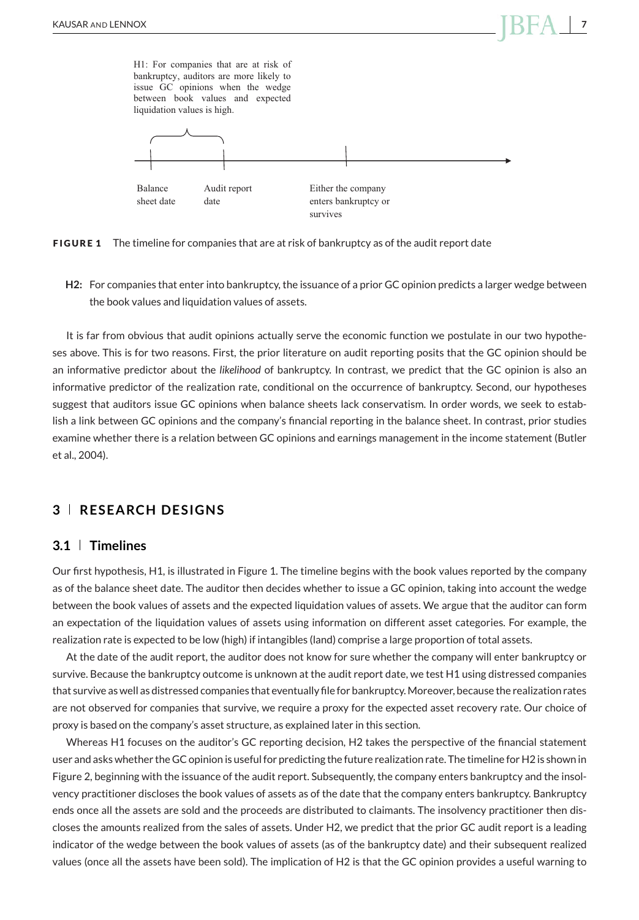H1: For companies that are at risk of bankruptcy, auditors are more likely to issue GC opinions when the wedge between book values and expected liquidation values is high.



**FIGURE 1** The timeline for companies that are at risk of bankruptcy as of the audit report date

**H2:** For companies that enter into bankruptcy, the issuance of a prior GC opinion predicts a larger wedge between the book values and liquidation values of assets.

It is far from obvious that audit opinions actually serve the economic function we postulate in our two hypotheses above. This is for two reasons. First, the prior literature on audit reporting posits that the GC opinion should be an informative predictor about the *likelihood* of bankruptcy. In contrast, we predict that the GC opinion is also an informative predictor of the realization rate, conditional on the occurrence of bankruptcy. Second, our hypotheses suggest that auditors issue GC opinions when balance sheets lack conservatism. In order words, we seek to establish a link between GC opinions and the company's financial reporting in the balance sheet. In contrast, prior studies examine whether there is a relation between GC opinions and earnings management in the income statement (Butler et al., 2004).

#### **3 RESEARCH DESIGNS**

#### **3.1 Timelines**

Our first hypothesis, H1, is illustrated in Figure 1. The timeline begins with the book values reported by the company as of the balance sheet date. The auditor then decides whether to issue a GC opinion, taking into account the wedge between the book values of assets and the expected liquidation values of assets. We argue that the auditor can form an expectation of the liquidation values of assets using information on different asset categories. For example, the realization rate is expected to be low (high) if intangibles (land) comprise a large proportion of total assets.

At the date of the audit report, the auditor does not know for sure whether the company will enter bankruptcy or survive. Because the bankruptcy outcome is unknown at the audit report date, we test H1 using distressed companies that survive as well as distressed companies that eventually file for bankruptcy.Moreover, because the realization rates are not observed for companies that survive, we require a proxy for the expected asset recovery rate. Our choice of proxy is based on the company's asset structure, as explained later in this section.

Whereas H1 focuses on the auditor's GC reporting decision, H2 takes the perspective of the financial statement user and asks whether the GC opinion is useful for predicting the future realization rate. The timeline for H2 is shown in Figure 2, beginning with the issuance of the audit report. Subsequently, the company enters bankruptcy and the insolvency practitioner discloses the book values of assets as of the date that the company enters bankruptcy. Bankruptcy ends once all the assets are sold and the proceeds are distributed to claimants. The insolvency practitioner then discloses the amounts realized from the sales of assets. Under H2, we predict that the prior GC audit report is a leading indicator of the wedge between the book values of assets (as of the bankruptcy date) and their subsequent realized values (once all the assets have been sold). The implication of H2 is that the GC opinion provides a useful warning to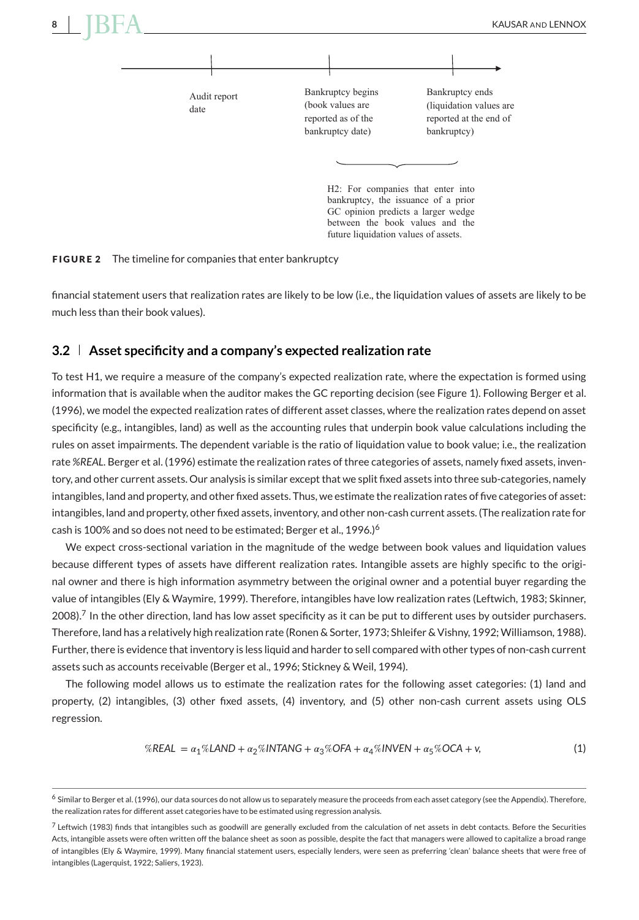

**FIGURE 2** The timeline for companies that enter bankruptcy

financial statement users that realization rates are likely to be low (i.e., the liquidation values of assets are likely to be much less than their book values).

#### **3.2 Asset specificity and a company's expected realization rate**

To test H1, we require a measure of the company's expected realization rate, where the expectation is formed using information that is available when the auditor makes the GC reporting decision (see Figure 1). Following Berger et al. (1996), we model the expected realization rates of different asset classes, where the realization rates depend on asset specificity (e.g., intangibles, land) as well as the accounting rules that underpin book value calculations including the rules on asset impairments. The dependent variable is the ratio of liquidation value to book value; i.e., the realization rate %REAL. Berger et al. (1996) estimate the realization rates of three categories of assets, namely fixed assets, inventory, and other current assets. Our analysis is similar except that we split fixed assets into three sub-categories, namely intangibles, land and property, and other fixed assets. Thus, we estimate the realization rates of five categories of asset: intangibles, land and property, other fixed assets, inventory, and other non-cash current assets. (The realization rate for cash is 100% and so does not need to be estimated; Berger et al., 1996.)<sup>6</sup>

We expect cross-sectional variation in the magnitude of the wedge between book values and liquidation values because different types of assets have different realization rates. Intangible assets are highly specific to the original owner and there is high information asymmetry between the original owner and a potential buyer regarding the value of intangibles (Ely & Waymire, 1999). Therefore, intangibles have low realization rates (Leftwich, 1983; Skinner,  $2008$ ).<sup>7</sup> In the other direction, land has low asset specificity as it can be put to different uses by outsider purchasers. Therefore, land has a relatively high realization rate (Ronen & Sorter, 1973; Shleifer & Vishny, 1992;Williamson, 1988). Further, there is evidence that inventory is less liquid and harder to sell compared with other types of non-cash current assets such as accounts receivable (Berger et al., 1996; Stickney & Weil, 1994).

The following model allows us to estimate the realization rates for the following asset categories: (1) land and property, (2) intangibles, (3) other fixed assets, (4) inventory, and (5) other non-cash current assets using OLS regression.

$$
\%REAL = \alpha_1\%LAND + \alpha_2\%INTANG + \alpha_3\%OFA + \alpha_4\%INVEN + \alpha_5\%OCA + v,\tag{1}
$$

<sup>&</sup>lt;sup>6</sup> Similar to Berger et al. (1996), our data sources do not allow us to separately measure the proceeds from each asset category (see the Appendix). Therefore, the realization rates for different asset categories have to be estimated using regression analysis.

 $7$  Leftwich (1983) finds that intangibles such as goodwill are generally excluded from the calculation of net assets in debt contacts. Before the Securities Acts, intangible assets were often written off the balance sheet as soon as possible, despite the fact that managers were allowed to capitalize a broad range of intangibles (Ely & Waymire, 1999). Many financial statement users, especially lenders, were seen as preferring 'clean' balance sheets that were free of intangibles (Lagerquist, 1922; Saliers, 1923).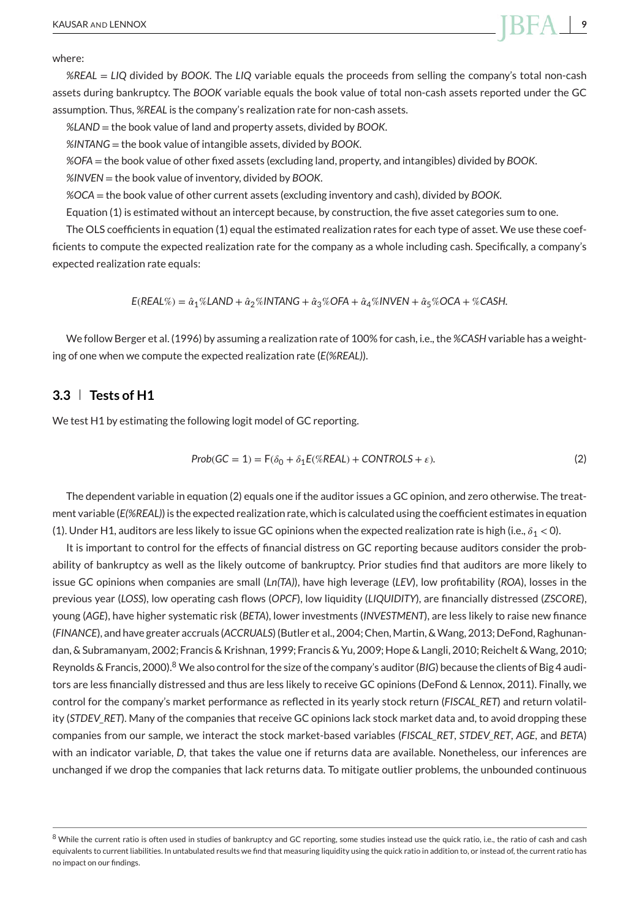where:

*%REAL* = *LIQ* divided by *BOOK*. The *LIQ* variable equals the proceeds from selling the company's total non-cash assets during bankruptcy. The *BOOK* variable equals the book value of total non-cash assets reported under the GC assumption. Thus, *%REAL* is the company's realization rate for non-cash assets.

*%LAND* = the book value of land and property assets, divided by *BOOK*.

*%INTANG* = the book value of intangible assets, divided by *BOOK*.

*%OFA* = the book value of other fixed assets (excluding land, property, and intangibles) divided by *BOOK*.

*%INVEN* = the book value of inventory, divided by *BOOK*.

*%OCA* = the book value of other current assets (excluding inventory and cash), divided by *BOOK*.

Equation (1) is estimated without an intercept because, by construction, the five asset categories sum to one.

The OLS coefficients in equation (1) equal the estimated realization rates for each type of asset. We use these coefficients to compute the expected realization rate for the company as a whole including cash. Specifically, a company's expected realization rate equals:

 $E(REAL\%) = \hat{\alpha}_1\%$ LAND +  $\hat{\alpha}_2\%$ INTANG +  $\hat{\alpha}_3\%$ OFA +  $\hat{\alpha}_4\%$ INVEN +  $\hat{\alpha}_5\%$ OCA + %CASH.

We follow Berger et al. (1996) by assuming a realization rate of 100% for cash, i.e., the *%CASH* variable has a weighting of one when we compute the expected realization rate (*E(%REAL)*).

#### **3.3 Tests of H1**

We test H1 by estimating the following logit model of GC reporting.

$$
Prob(GC = 1) = F(\delta_0 + \delta_1 E(\% REAL) + CONTROLS + \varepsilon). \tag{2}
$$

The dependent variable in equation (2) equals one if the auditor issues a GC opinion, and zero otherwise. The treatment variable (*E(%REAL)*) is the expected realization rate, which is calculated using the coefficient estimates in equation (1). Under H1, auditors are less likely to issue GC opinions when the expected realization rate is high (i.e.,  $\delta_1$  < 0).

It is important to control for the effects of financial distress on GC reporting because auditors consider the probability of bankruptcy as well as the likely outcome of bankruptcy. Prior studies find that auditors are more likely to issue GC opinions when companies are small (*Ln(TA)*), have high leverage (*LEV*), low profitability (*ROA*), losses in the previous year (*LOSS*), low operating cash flows (*OPCF*), low liquidity (*LIQUIDITY*), are financially distressed (*ZSCORE*), young (*AGE*), have higher systematic risk (*BETA*), lower investments (*INVESTMENT*), are less likely to raise new finance (*FINANCE*), and have greater accruals (*ACCRUALS*) (Butler et al., 2004; Chen,Martin, &Wang, 2013; DeFond, Raghunandan, & Subramanyam, 2002; Francis & Krishnan, 1999; Francis & Yu, 2009; Hope & Langli, 2010; Reichelt & Wang, 2010; Reynolds & Francis, 2000).<sup>8</sup> We also control for the size of the company's auditor (*BIG*) because the clients of Big 4 auditors are less financially distressed and thus are less likely to receive GC opinions (DeFond & Lennox, 2011). Finally, we control for the company's market performance as reflected in its yearly stock return (*FISCAL\_RET*) and return volatility (*STDEV\_RET*). Many of the companies that receive GC opinions lack stock market data and, to avoid dropping these companies from our sample, we interact the stock market-based variables (*FISCAL\_RET*, *STDEV\_RET*, *AGE*, and *BETA*) with an indicator variable, *D*, that takes the value one if returns data are available. Nonetheless, our inferences are unchanged if we drop the companies that lack returns data. To mitigate outlier problems, the unbounded continuous

<sup>&</sup>lt;sup>8</sup> While the current ratio is often used in studies of bankruptcy and GC reporting, some studies instead use the quick ratio, i.e., the ratio of cash and cash equivalents to current liabilities. In untabulated results we find that measuring liquidity using the quick ratio in addition to, or instead of, the current ratio has no impact on our findings.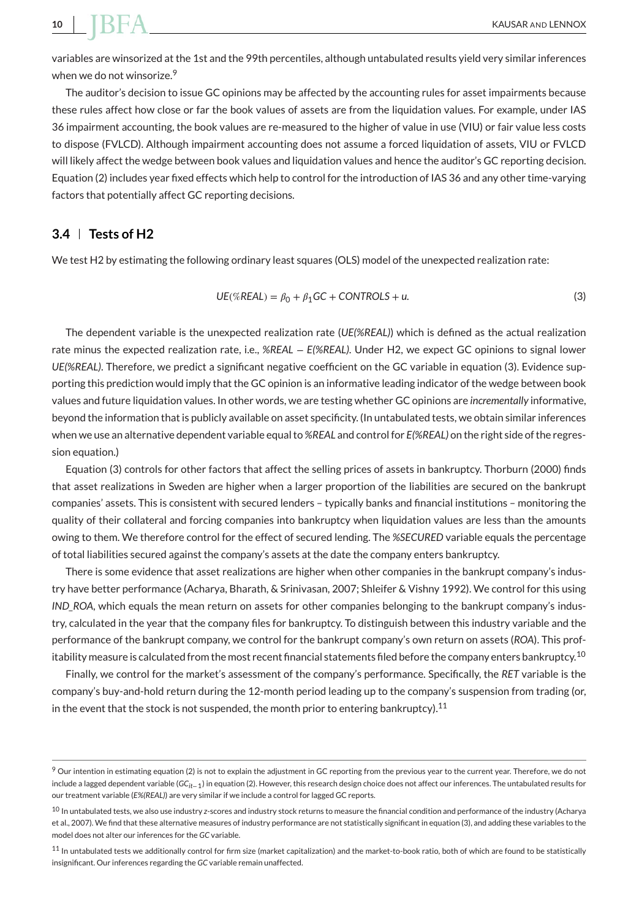variables are winsorized at the 1st and the 99th percentiles, although untabulated results yield very similar inferences when we do not winsorize.<sup>9</sup>

The auditor's decision to issue GC opinions may be affected by the accounting rules for asset impairments because these rules affect how close or far the book values of assets are from the liquidation values. For example, under IAS 36 impairment accounting, the book values are re-measured to the higher of value in use (VIU) or fair value less costs to dispose (FVLCD). Although impairment accounting does not assume a forced liquidation of assets, VIU or FVLCD will likely affect the wedge between book values and liquidation values and hence the auditor's GC reporting decision. Equation (2) includes year fixed effects which help to control for the introduction of IAS 36 and any other time-varying factors that potentially affect GC reporting decisions.

#### **3.4 Tests of H2**

We test H2 by estimating the following ordinary least squares (OLS) model of the unexpected realization rate:

$$
UE(\% REAL) = \beta_0 + \beta_1 GC + CONTROLS + u.
$$
\n(3)

The dependent variable is the unexpected realization rate (*UE(%REAL)*) which is defined as the actual realization rate minus the expected realization rate, i.e., *%REAL* − *E(%REAL)*. Under H2, we expect GC opinions to signal lower *UE(%REAL)*. Therefore, we predict a significant negative coefficient on the GC variable in equation (3). Evidence supporting this prediction would imply that the GC opinion is an informative leading indicator of the wedge between book values and future liquidation values. In other words, we are testing whether GC opinions are *incrementally* informative, beyond the information that is publicly available on asset specificity. (In untabulated tests, we obtain similar inferences when we use an alternative dependent variable equal to *%REAL* and control for *E(%REAL)* on the right side of the regression equation.)

Equation (3) controls for other factors that affect the selling prices of assets in bankruptcy. Thorburn (2000) finds that asset realizations in Sweden are higher when a larger proportion of the liabilities are secured on the bankrupt companies' assets. This is consistent with secured lenders – typically banks and financial institutions – monitoring the quality of their collateral and forcing companies into bankruptcy when liquidation values are less than the amounts owing to them. We therefore control for the effect of secured lending. The *%SECURED* variable equals the percentage of total liabilities secured against the company's assets at the date the company enters bankruptcy.

There is some evidence that asset realizations are higher when other companies in the bankrupt company's industry have better performance (Acharya, Bharath, & Srinivasan, 2007; Shleifer & Vishny 1992). We control for this using *IND* ROA, which equals the mean return on assets for other companies belonging to the bankrupt company's industry, calculated in the year that the company files for bankruptcy. To distinguish between this industry variable and the performance of the bankrupt company, we control for the bankrupt company's own return on assets (*ROA*). This profitability measure is calculated from the most recent financial statements filed before the company enters bankruptcy.<sup>10</sup>

Finally, we control for the market's assessment of the company's performance. Specifically, the *RET* variable is the company's buy-and-hold return during the 12-month period leading up to the company's suspension from trading (or, in the event that the stock is not suspended, the month prior to entering bankruptcy).<sup>11</sup>

 $9$  Our intention in estimating equation (2) is not to explain the adjustment in GC reporting from the previous year to the current year. Therefore, we do not include a lagged dependent variable (*GCit*−1) in equation (2). However, this research design choice does not affect our inferences. The untabulated results for our treatment variable (*E%(REAL)*) are very similar if we include a control for lagged GC reports.

<sup>10</sup> In untabulated tests, we also use industry *z*-scores and industry stock returns to measure the financial condition and performance of the industry (Acharya et al., 2007). We find that these alternative measures of industry performance are not statistically significant in equation (3), and adding these variables to the model does not alter our inferences for the *GC* variable.

<sup>11</sup> In untabulated tests we additionally control for firm size (market capitalization) and the market-to-book ratio, both of which are found to be statistically insignificant. Our inferences regarding the *GC* variable remain unaffected.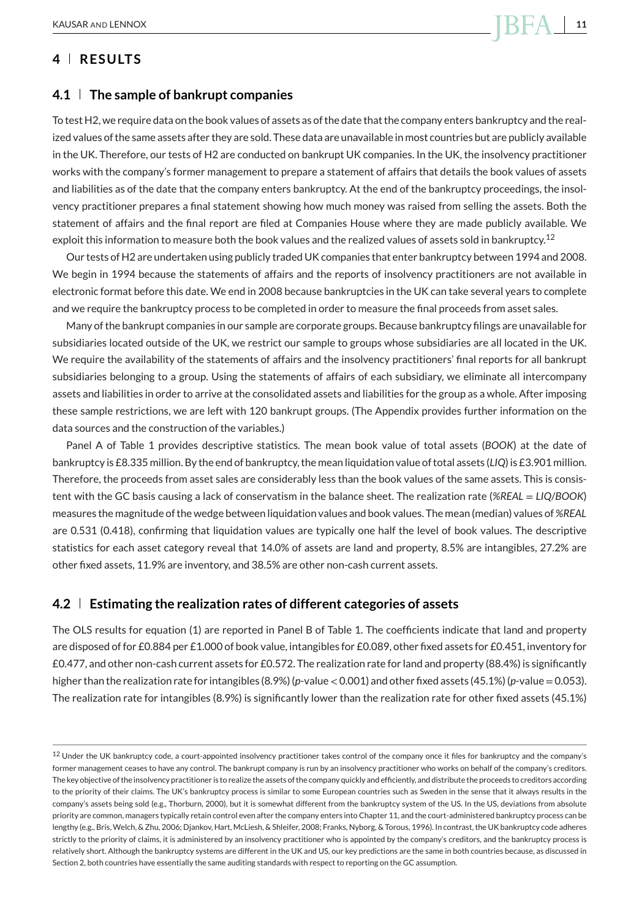#### **4 RESULTS**

#### **4.1 The sample of bankrupt companies**

To test H2, we require data on the book values of assets as of the date that the company enters bankruptcy and the realized values of the same assets after they are sold. These data are unavailable in most countries but are publicly available in the UK. Therefore, our tests of H2 are conducted on bankrupt UK companies. In the UK, the insolvency practitioner works with the company's former management to prepare a statement of affairs that details the book values of assets and liabilities as of the date that the company enters bankruptcy. At the end of the bankruptcy proceedings, the insolvency practitioner prepares a final statement showing how much money was raised from selling the assets. Both the statement of affairs and the final report are filed at Companies House where they are made publicly available. We exploit this information to measure both the book values and the realized values of assets sold in bankruptcy.<sup>12</sup>

Our tests of H2 are undertaken using publicly traded UK companies that enter bankruptcy between 1994 and 2008. We begin in 1994 because the statements of affairs and the reports of insolvency practitioners are not available in electronic format before this date. We end in 2008 because bankruptcies in the UK can take several years to complete and we require the bankruptcy process to be completed in order to measure the final proceeds from asset sales.

Many of the bankrupt companies in our sample are corporate groups. Because bankruptcy filings are unavailable for subsidiaries located outside of the UK, we restrict our sample to groups whose subsidiaries are all located in the UK. We require the availability of the statements of affairs and the insolvency practitioners' final reports for all bankrupt subsidiaries belonging to a group. Using the statements of affairs of each subsidiary, we eliminate all intercompany assets and liabilities in order to arrive at the consolidated assets and liabilities for the group as a whole. After imposing these sample restrictions, we are left with 120 bankrupt groups. (The Appendix provides further information on the data sources and the construction of the variables.)

Panel A of Table 1 provides descriptive statistics. The mean book value of total assets (*BOOK*) at the date of bankruptcy is £8.335 million. By the end of bankruptcy, the mean liquidation value of total assets (*LIQ*) is £3.901 million. Therefore, the proceeds from asset sales are considerably less than the book values of the same assets. This is consistent with the GC basis causing a lack of conservatism in the balance sheet. The realization rate (*%REAL* = *LIQ*/*BOOK*) measures the magnitude of the wedge between liquidation values and book values. The mean (median) values of *%REAL* are 0.531 (0.418), confirming that liquidation values are typically one half the level of book values. The descriptive statistics for each asset category reveal that 14.0% of assets are land and property, 8.5% are intangibles, 27.2% are other fixed assets, 11.9% are inventory, and 38.5% are other non-cash current assets.

#### **4.2 Estimating the realization rates of different categories of assets**

The OLS results for equation (1) are reported in Panel B of Table 1. The coefficients indicate that land and property are disposed of for £0.884 per £1.000 of book value, intangibles for £0.089, other fixed assets for £0.451, inventory for £0.477, and other non-cash current assets for £0.572. The realization rate for land and property (88.4%) is significantly higher than the realization rate for intangibles (8.9%) (*p*-value*<*0.001) and other fixed assets (45.1%) (*p*-value=0.053). The realization rate for intangibles (8.9%) is significantly lower than the realization rate for other fixed assets (45.1%)

 $12$  Under the UK bankruptcy code, a court-appointed insolvency practitioner takes control of the company once it files for bankruptcy and the company's former management ceases to have any control. The bankrupt company is run by an insolvency practitioner who works on behalf of the company's creditors. The key objective of the insolvency practitioner is to realize the assets of the company quickly and efficiently, and distribute the proceeds to creditors according to the priority of their claims. The UK's bankruptcy process is similar to some European countries such as Sweden in the sense that it always results in the company's assets being sold (e.g., Thorburn, 2000), but it is somewhat different from the bankruptcy system of the US. In the US, deviations from absolute priority are common, managers typically retain control even after the company enters into Chapter 11, and the court-administered bankruptcy process can be lengthy (e.g., Bris, Welch, & Zhu, 2006; Djankov, Hart, McLiesh, & Shleifer, 2008; Franks, Nyborg, & Torous, 1996). In contrast, the UK bankruptcy code adheres strictly to the priority of claims, it is administered by an insolvency practitioner who is appointed by the company's creditors, and the bankruptcy process is relatively short. Although the bankruptcy systems are different in the UK and US, our key predictions are the same in both countries because, as discussed in Section 2, both countries have essentially the same auditing standards with respect to reporting on the GC assumption.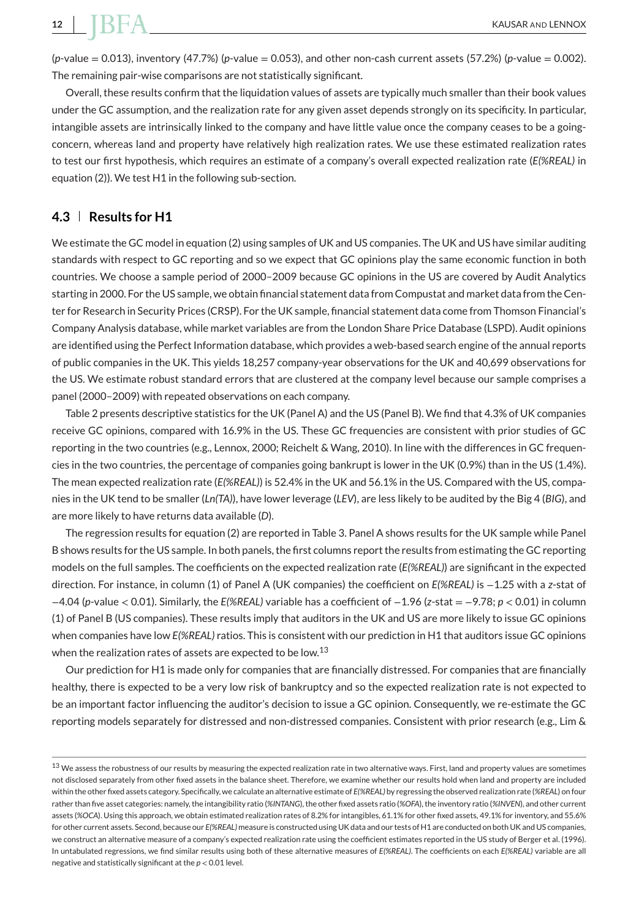(*p*-value = 0.013), inventory (47.7%) (*p*-value = 0.053), and other non-cash current assets (57.2%) (*p*-value = 0.002). The remaining pair-wise comparisons are not statistically significant.

Overall, these results confirm that the liquidation values of assets are typically much smaller than their book values under the GC assumption, and the realization rate for any given asset depends strongly on its specificity. In particular, intangible assets are intrinsically linked to the company and have little value once the company ceases to be a goingconcern, whereas land and property have relatively high realization rates. We use these estimated realization rates to test our first hypothesis, which requires an estimate of a company's overall expected realization rate (*E(%REAL)* in equation (2)). We test H1 in the following sub-section.

#### **4.3 Results for H1**

We estimate the GC model in equation (2) using samples of UK and US companies. The UK and US have similar auditing standards with respect to GC reporting and so we expect that GC opinions play the same economic function in both countries. We choose a sample period of 2000–2009 because GC opinions in the US are covered by Audit Analytics starting in 2000. For the US sample, we obtain financial statement data from Compustat and market data from the Center for Research in Security Prices (CRSP). For the UK sample, financial statement data come from Thomson Financial's Company Analysis database, while market variables are from the London Share Price Database (LSPD). Audit opinions are identified using the Perfect Information database, which provides a web-based search engine of the annual reports of public companies in the UK. This yields 18,257 company-year observations for the UK and 40,699 observations for the US. We estimate robust standard errors that are clustered at the company level because our sample comprises a panel (2000–2009) with repeated observations on each company.

Table 2 presents descriptive statistics for the UK (Panel A) and the US (Panel B). We find that 4.3% of UK companies receive GC opinions, compared with 16.9% in the US. These GC frequencies are consistent with prior studies of GC reporting in the two countries (e.g., Lennox, 2000; Reichelt & Wang, 2010). In line with the differences in GC frequencies in the two countries, the percentage of companies going bankrupt is lower in the UK (0.9%) than in the US (1.4%). The mean expected realization rate (*E(%REAL)*) is 52.4% in the UK and 56.1% in the US. Compared with the US, companies in the UK tend to be smaller (*Ln(TA)*), have lower leverage (*LEV*), are less likely to be audited by the Big 4 (*BIG*), and are more likely to have returns data available (*D*).

The regression results for equation (2) are reported in Table 3. Panel A shows results for the UK sample while Panel B shows results for the US sample. In both panels, the first columns report the results from estimating the GC reporting models on the full samples. The coefficients on the expected realization rate (*E(%REAL)*) are significant in the expected direction. For instance, in column (1) of Panel A (UK companies) the coefficient on *E(%REAL)* is −1.25 with a *z*-stat of −4.04 (*p*-value *<* 0.01). Similarly, the *E(%REAL)* variable has a coefficient of −1.96 (*z*-stat = −9.78; *p <* 0.01) in column (1) of Panel B (US companies). These results imply that auditors in the UK and US are more likely to issue GC opinions when companies have low *E(%REAL)* ratios. This is consistent with our prediction in H1 that auditors issue GC opinions when the realization rates of assets are expected to be low.<sup>13</sup>

Our prediction for H1 is made only for companies that are financially distressed. For companies that are financially healthy, there is expected to be a very low risk of bankruptcy and so the expected realization rate is not expected to be an important factor influencing the auditor's decision to issue a GC opinion. Consequently, we re-estimate the GC reporting models separately for distressed and non-distressed companies. Consistent with prior research (e.g., Lim &

<sup>&</sup>lt;sup>13</sup> We assess the robustness of our results by measuring the expected realization rate in two alternative ways. First, land and property values are sometimes not disclosed separately from other fixed assets in the balance sheet. Therefore, we examine whether our results hold when land and property are included within the other fixed assets category. Specifically, we calculate an alternative estimate of *E(%REAL)* by regressing the observed realization rate (*%REAL*) on four rather than five asset categories: namely, the intangibility ratio (*%INTANG*), the other fixed assets ratio (*%OFA*), the inventory ratio (*%INVEN*), and other current assets (*%OCA*). Using this approach, we obtain estimated realization rates of 8.2% for intangibles, 61.1% for other fixed assets, 49.1% for inventory, and 55.6% for other current assets. Second, because our *E(%REAL)* measure is constructed using UK data and our tests of H1 are conducted on both UK and US companies, we construct an alternative measure of a company's expected realization rate using the coefficient estimates reported in the US study of Berger et al. (1996). In untabulated regressions, we find similar results using both of these alternative measures of *E(%REAL)*. The coefficients on each *E(%REAL)* variable are all negative and statistically significant at the *p <* 0.01 level.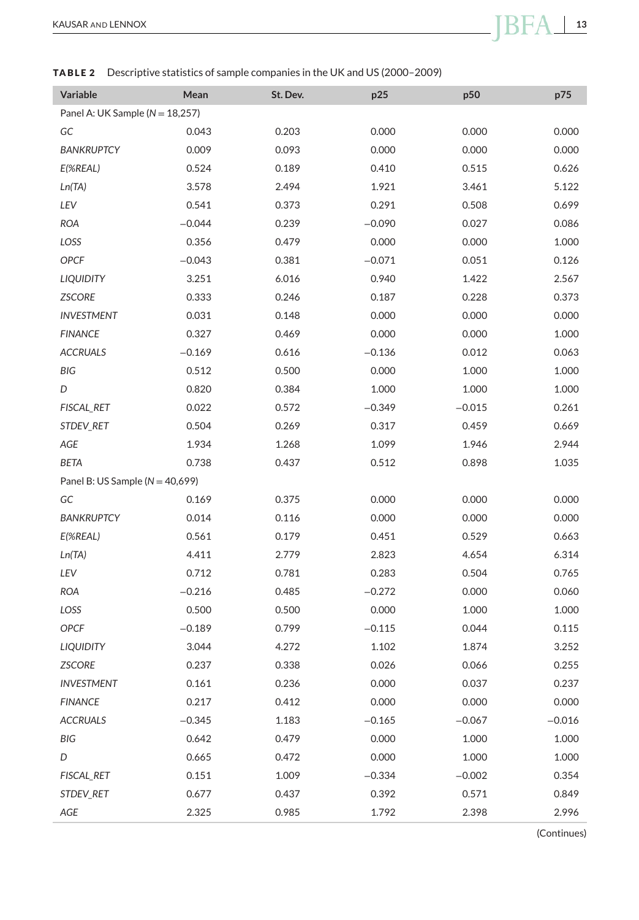#### **TABLE 2** Descriptive statistics of sample companies in the UK and US (2000–2009)

| Variable                            | Mean     | St. Dev. | p25      | p50      | p75      |
|-------------------------------------|----------|----------|----------|----------|----------|
| Panel A: UK Sample ( $N = 18,257$ ) |          |          |          |          |          |
| GC                                  | 0.043    | 0.203    | 0.000    | 0.000    | 0.000    |
| <b>BANKRUPTCY</b>                   | 0.009    | 0.093    | 0.000    | 0.000    | 0.000    |
| E(%REAL)                            | 0.524    | 0.189    | 0.410    | 0.515    | 0.626    |
| Ln(TA)                              | 3.578    | 2.494    | 1.921    | 3.461    | 5.122    |
| LEV                                 | 0.541    | 0.373    | 0.291    | 0.508    | 0.699    |
| <b>ROA</b>                          | $-0.044$ | 0.239    | $-0.090$ | 0.027    | 0.086    |
| LOSS                                | 0.356    | 0.479    | 0.000    | 0.000    | 1.000    |
| OPCF                                | $-0.043$ | 0.381    | $-0.071$ | 0.051    | 0.126    |
| <b>LIQUIDITY</b>                    | 3.251    | 6.016    | 0.940    | 1.422    | 2.567    |
| <b>ZSCORE</b>                       | 0.333    | 0.246    | 0.187    | 0.228    | 0.373    |
| <b>INVESTMENT</b>                   | 0.031    | 0.148    | 0.000    | 0.000    | 0.000    |
| <b>FINANCE</b>                      | 0.327    | 0.469    | 0.000    | 0.000    | 1.000    |
| <b>ACCRUALS</b>                     | $-0.169$ | 0.616    | $-0.136$ | 0.012    | 0.063    |
| BIG                                 | 0.512    | 0.500    | 0.000    | 1.000    | 1.000    |
| D                                   | 0.820    | 0.384    | 1.000    | 1.000    | 1.000    |
| FISCAL_RET                          | 0.022    | 0.572    | $-0.349$ | $-0.015$ | 0.261    |
| STDEV_RET                           | 0.504    | 0.269    | 0.317    | 0.459    | 0.669    |
| AGE                                 | 1.934    | 1.268    | 1.099    | 1.946    | 2.944    |
| <b>BETA</b>                         | 0.738    | 0.437    | 0.512    | 0.898    | 1.035    |
| Panel B: US Sample ( $N = 40,699$ ) |          |          |          |          |          |
| GC                                  | 0.169    | 0.375    | 0.000    | 0.000    | 0.000    |
| <b>BANKRUPTCY</b>                   | 0.014    | 0.116    | 0.000    | 0.000    | 0.000    |
| $E(\%REAL)$                         | 0.561    | 0.179    | 0.451    | 0.529    | 0.663    |
| Ln(TA)                              | 4.411    | 2.779    | 2.823    | 4.654    | 6.314    |
| LEV                                 | 0.712    | 0.781    | 0.283    | 0.504    | 0.765    |
| <b>ROA</b>                          | $-0.216$ | 0.485    | $-0.272$ | 0.000    | 0.060    |
| LOSS                                | 0.500    | 0.500    | 0.000    | 1.000    | 1.000    |
| OPCF                                | $-0.189$ | 0.799    | $-0.115$ | 0.044    | 0.115    |
| <b>LIQUIDITY</b>                    | 3.044    | 4.272    | 1.102    | 1.874    | 3.252    |
| <b>ZSCORE</b>                       | 0.237    | 0.338    | 0.026    | 0.066    | 0.255    |
| <b>INVESTMENT</b>                   | 0.161    | 0.236    | 0.000    | 0.037    | 0.237    |
| <b>FINANCE</b>                      | 0.217    | 0.412    | 0.000    | 0.000    | 0.000    |
| <b>ACCRUALS</b>                     | $-0.345$ | 1.183    | $-0.165$ | $-0.067$ | $-0.016$ |
| BIG                                 | 0.642    | 0.479    | 0.000    | 1.000    | 1.000    |
| D                                   | 0.665    | 0.472    | 0.000    | 1.000    | 1.000    |
| FISCAL_RET                          | 0.151    | 1.009    | $-0.334$ | $-0.002$ | 0.354    |
| STDEV_RET                           | 0.677    | 0.437    | 0.392    | 0.571    | 0.849    |
| AGE                                 | 2.325    | 0.985    | 1.792    | 2.398    | 2.996    |

(Continues)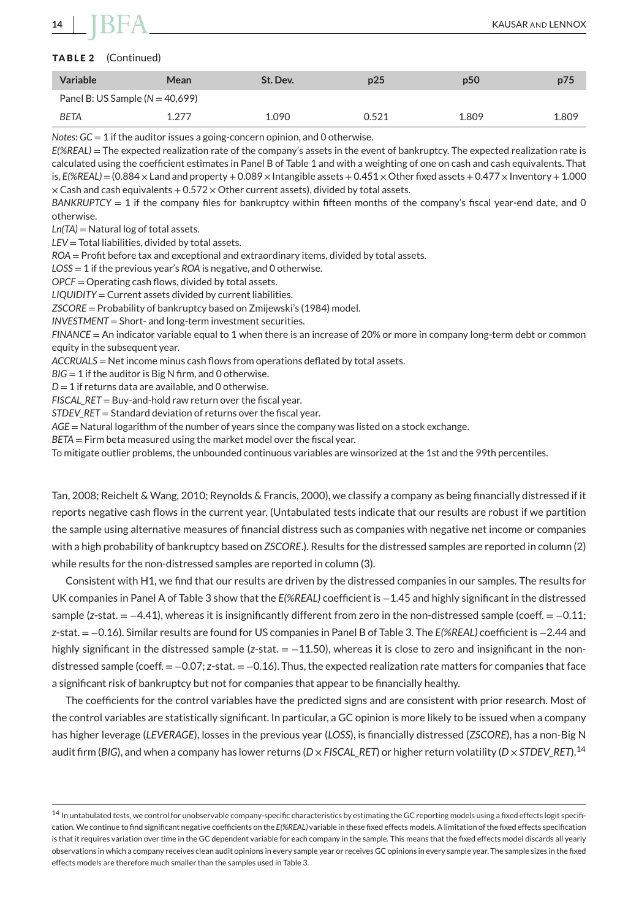#### **TABLE 2** (Continued)

| <b>Variable</b>                   | Mean  | St. Dev. | p25   | p <sub>50</sub> | p75   |
|-----------------------------------|-------|----------|-------|-----------------|-------|
| Panel B: US Sample $(N = 40,699)$ |       |          |       |                 |       |
| <b>BETA</b>                       | 1.277 | 1.090    | 0.521 | 1.809           | 1.809 |

*Notes*: *GC* = 1 if the auditor issues a going-concern opinion, and 0 otherwise.

*E(%REAL)* = The expected realization rate of the company's assets in the event of bankruptcy. The expected realization rate is calculated using the coefficient estimates in Panel B of Table 1 and with a weighting of one on cash and cash equivalents. That is,  $E(\%REAL) = (0.884 \times$  Land and property + 0.089  $\times$  Intangible assets + 0.451  $\times$  Other fixed assets + 0.477  $\times$  Inventory + 1.000  $\times$  Cash and cash equivalents + 0.572  $\times$  Other current assets), divided by total assets.

*BANKRUPTCY* = 1 if the company files for bankruptcy within fifteen months of the company's fiscal year-end date, and 0 otherwise.

*Ln(TA)* = Natural log of total assets.

*LEV* = Total liabilities, divided by total assets.

*ROA* = Profit before tax and exceptional and extraordinary items, divided by total assets.

*LOSS* = 1 if the previous year's *ROA* is negative, and 0 otherwise.

*OPCF* = Operating cash flows, divided by total assets.

*LIQUIDITY* = Current assets divided by current liabilities.

*ZSCORE* = Probability of bankruptcy based on Zmijewski's (1984) model.

*INVESTMENT* = Short- and long-term investment securities.

*FINANCE* = An indicator variable equal to 1 when there is an increase of 20% or more in company long-term debt or common equity in the subsequent year.

*ACCRUALS* = Net income minus cash flows from operations deflated by total assets.

*BIG* = 1 if the auditor is Big N firm, and 0 otherwise.

 $D = 1$  if returns data are available, and 0 otherwise.

*FISCAL\_RET* = Buy-and-hold raw return over the fiscal year.

*STDEV\_RET* = Standard deviation of returns over the fiscal year.

*AGE* = Natural logarithm of the number of years since the company was listed on a stock exchange.

*BETA* = Firm beta measured using the market model over the fiscal year.

To mitigate outlier problems, the unbounded continuous variables are winsorized at the 1st and the 99th percentiles.

Tan, 2008; Reichelt & Wang, 2010; Reynolds & Francis, 2000), we classify a company as being financially distressed if it reports negative cash flows in the current year. (Untabulated tests indicate that our results are robust if we partition the sample using alternative measures of financial distress such as companies with negative net income or companies with a high probability of bankruptcy based on *ZSCORE*.). Results for the distressed samples are reported in column (2) while results for the non-distressed samples are reported in column (3).

Consistent with H1, we find that our results are driven by the distressed companies in our samples. The results for UK companies in Panel A of Table 3 show that the *E(%REAL)* coefficient is −1.45 and highly significant in the distressed sample (*z*-stat. = −4.41), whereas it is insignificantly different from zero in the non-distressed sample (coeff. = −0.11; *z*-stat. = −0.16). Similar results are found for US companies in Panel B of Table 3. The *E(%REAL)* coefficient is −2.44 and highly significant in the distressed sample (*z*-stat. = −11.50), whereas it is close to zero and insignificant in the nondistressed sample (coeff. = −0.07; *z*-stat. = −0.16). Thus, the expected realization rate matters for companies that face a significant risk of bankruptcy but not for companies that appear to be financially healthy.

The coefficients for the control variables have the predicted signs and are consistent with prior research. Most of the control variables are statistically significant. In particular, a GC opinion is more likely to be issued when a company has higher leverage (*LEVERAGE*), losses in the previous year (*LOSS*), is financially distressed (*ZSCORE*), has a non-Big N audit firm (*BIG*), and when a company has lower returns (*D* × *FISCAL\_RET*) or higher return volatility (*D* × *STDEV\_RET*).<sup>14</sup>

<sup>14</sup> In untabulated tests, we control for unobservable company-specific characteristics by estimating the GC reporting models using a fixed effects logit specification. We continue to find significant negative coefficients on the *E(%REAL)* variable in these fixed effects models. A limitation of the fixed effects specification is that it requires variation over time in the GC dependent variable for each company in the sample. This means that the fixed effects model discards all yearly observations in which a company receives clean audit opinions in every sample year or receives GC opinions in every sample year. The sample sizes in the fixed effects models are therefore much smaller than the samples used in Table 3.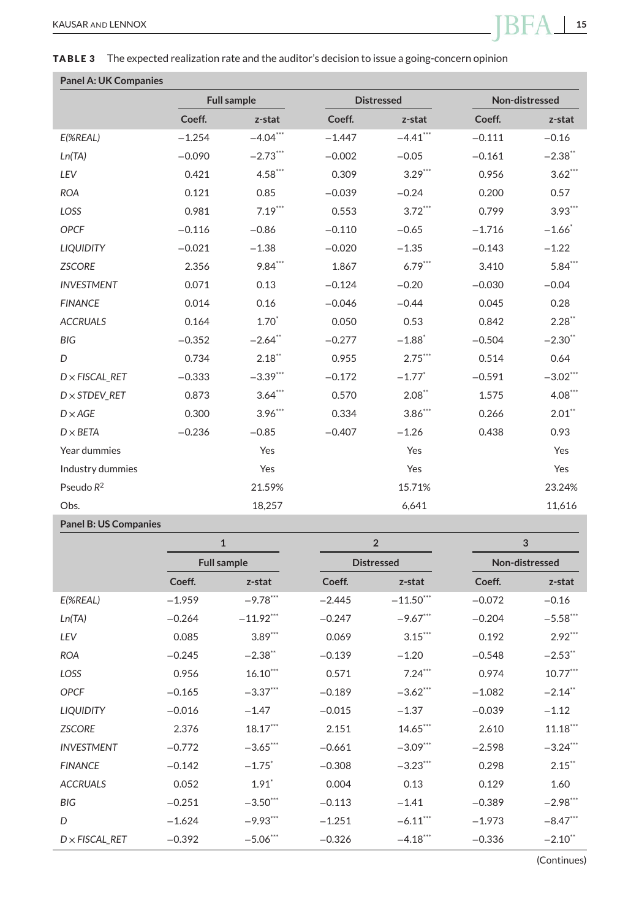#### **Panel A: UK Companies**

|                       |          | <b>Full sample</b> |          | <b>Distressed</b>    | Non-distressed |                       |
|-----------------------|----------|--------------------|----------|----------------------|----------------|-----------------------|
|                       | Coeff.   | z-stat             | Coeff.   | z-stat               | Coeff.         | z-stat                |
| E(%REAL)              | $-1.254$ | $-4.04***$         | $-1.447$ | $-4.41***$           | $-0.111$       | $-0.16$               |
| Ln(TA)                | $-0.090$ | $-2.73***$         | $-0.002$ | $-0.05$              | $-0.161$       | $-2.38$ **            |
| LEV                   | 0.421    | $4.58***$          | 0.309    | $3.29***$            | 0.956          | $3.62***$             |
| <b>ROA</b>            | 0.121    | 0.85               | $-0.039$ | $-0.24$              | 0.200          | 0.57                  |
| LOSS                  | 0.981    | $7.19***$          | 0.553    | $3.72***$            | 0.799          | $3.93***$             |
| <b>OPCF</b>           | $-0.116$ | $-0.86$            | $-0.110$ | $-0.65$              | $-1.716$       | $-1.66$ <sup>*</sup>  |
| <b>LIQUIDITY</b>      | $-0.021$ | $-1.38$            | $-0.020$ | $-1.35$              | $-0.143$       | $-1.22$               |
| <b>ZSCORE</b>         | 2.356    | $9.84***$          | 1.867    | $6.79***$            | 3.410          | $5.84***$             |
| <b>INVESTMENT</b>     | 0.071    | 0.13               | $-0.124$ | $-0.20$              | $-0.030$       | $-0.04$               |
| <b>FINANCE</b>        | 0.014    | 0.16               | $-0.046$ | $-0.44$              | 0.045          | 0.28                  |
| <b>ACCRUALS</b>       | 0.164    | $1.70*$            | 0.050    | 0.53                 | 0.842          | $2.28$ **             |
| <b>BIG</b>            | $-0.352$ | $-2.64$ **         | $-0.277$ | $-1.88$ <sup>*</sup> | $-0.504$       | $-2.30$ <sup>**</sup> |
| D                     | 0.734    | $2.18$ **          | 0.955    | $2.75***$            | 0.514          | 0.64                  |
| $D \times FISCAL$ RET | $-0.333$ | $-3.39***$         | $-0.172$ | $-1.77$ <sup>*</sup> | $-0.591$       | $-3.02***$            |
| $D \times$ STDEV RET  | 0.873    | $3.64***$          | 0.570    | $2.08**$             | 1.575          | $4.08***$             |
| $D \times AGE$        | 0.300    | $3.96***$          | 0.334    | $3.86***$            | 0.266          | $2.01$ **             |
| $D \times BETA$       | $-0.236$ | $-0.85$            | $-0.407$ | $-1.26$              | 0.438          | 0.93                  |
| Year dummies          |          | Yes                |          | Yes                  |                | Yes                   |
| Industry dummies      |          | Yes                |          | Yes                  |                | Yes                   |
| Pseudo $R^2$          |          | 21.59%             |          | 15.71%               |                | 23.24%                |
| Obs.                  |          | 18,257             |          | 6,641                |                | 11,616                |

#### **Panel B: US Companies**

|                       | $\mathbf{1}$       |                      | $\overline{2}$ |                   | 3        |                       |  |
|-----------------------|--------------------|----------------------|----------------|-------------------|----------|-----------------------|--|
|                       | <b>Full sample</b> |                      |                | <b>Distressed</b> |          | Non-distressed        |  |
|                       | Coeff.             | z-stat               | Coeff.         | z-stat            | Coeff.   | z-stat                |  |
| $E(\%REAL)$           | $-1.959$           | $-9.78$ ***          | $-2.445$       | $-11.50***$       | $-0.072$ | $-0.16$               |  |
| Ln(TA)                | $-0.264$           | $-11.92***$          | $-0.247$       | $-9.67***$        | $-0.204$ | $-5.58$ ***           |  |
| LEV                   | 0.085              | $3.89***$            | 0.069          | $3.15***$         | 0.192    | $2.92***$             |  |
| <b>ROA</b>            | $-0.245$           | $-2.38$ **           | $-0.139$       | $-1.20$           | $-0.548$ | $-2.53$ **            |  |
| LOSS                  | 0.956              | $16.10***$           | 0.571          | $7.24***$         | 0.974    | $10.77***$            |  |
| <b>OPCF</b>           | $-0.165$           | $-3.37***$           | $-0.189$       | $-3.62$ ***       | $-1.082$ | $-2.14$ <sup>**</sup> |  |
| <b>LIQUIDITY</b>      | $-0.016$           | $-1.47$              | $-0.015$       | $-1.37$           | $-0.039$ | $-1.12$               |  |
| <b>ZSCORE</b>         | 2.376              | $18.17***$           | 2.151          | 14.65***          | 2.610    | $11.18***$            |  |
| <b>INVESTMENT</b>     | $-0.772$           | $-3.65***$           | $-0.661$       | $-3.09***$        | $-2.598$ | $-3.24***$            |  |
| <b>FINANCE</b>        | $-0.142$           | $-1.75$ <sup>*</sup> | $-0.308$       | $-3.23$ ***       | 0.298    | $2.15$ **             |  |
| <b>ACCRUALS</b>       | 0.052              | $1.91$ <sup>*</sup>  | 0.004          | 0.13              | 0.129    | 1.60                  |  |
| <b>BIG</b>            | $-0.251$           | $-3.50***$           | $-0.113$       | $-1.41$           | $-0.389$ | $-2.98***$            |  |
| D                     | $-1.624$           | $-9.93***$           | $-1.251$       | $-6.11***$        | $-1.973$ | $-8.47***$            |  |
| $D \times$ FISCAL RET | $-0.392$           | $-5.06$ ***          | $-0.326$       | $-4.18***$        | $-0.336$ | $-2.10$ <sup>**</sup> |  |

(Continues)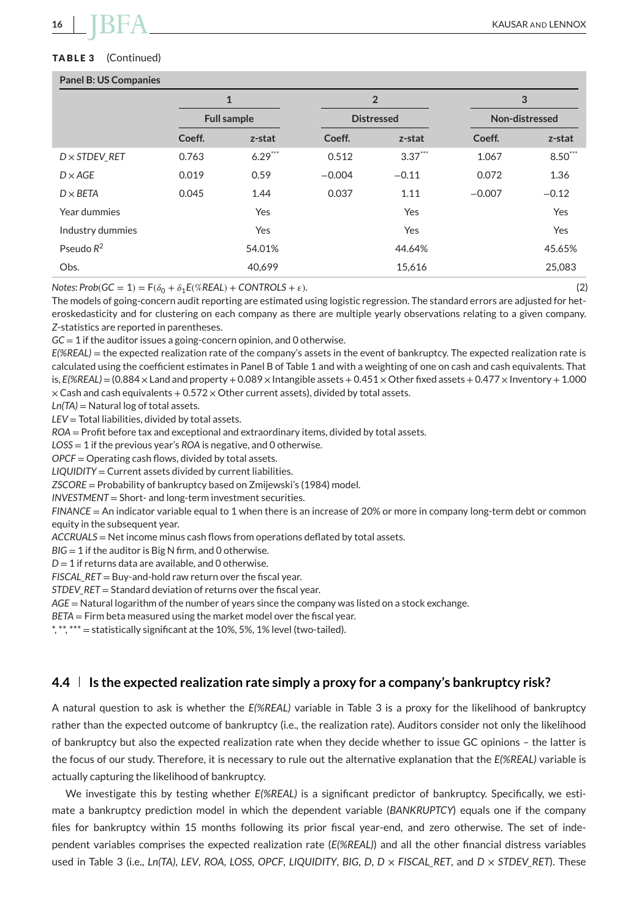#### **TABLE 3** (Continued)

#### **Panel B: US Companies**

| $\mathbf{1}$       |           | $\overline{2}$    |           | 3              |           |
|--------------------|-----------|-------------------|-----------|----------------|-----------|
| <b>Full sample</b> |           | <b>Distressed</b> |           | Non-distressed |           |
| Coeff.             | z-stat    | Coeff.            | z-stat    | Coeff.         | z-stat    |
| 0.763              | $6.29***$ | 0.512             | $3.37***$ | 1.067          | $8.50***$ |
| 0.019              | 0.59      | $-0.004$          | $-0.11$   | 0.072          | 1.36      |
| 0.045              | 1.44      | 0.037             | 1.11      | $-0.007$       | $-0.12$   |
|                    | Yes       |                   | Yes       |                | Yes       |
|                    | Yes       |                   | Yes       |                | Yes       |
|                    |           |                   | 44.64%    |                | 45.65%    |
|                    |           |                   | 15,616    |                | 25,083    |
|                    |           | 54.01%<br>40.699  |           |                |           |

 $Notes: Prob(GC = 1) = F(\delta_0 + \delta_1 E(\% REAL) + \text{CONTROLS} + \varepsilon).$  (2)

The models of going-concern audit reporting are estimated using logistic regression. The standard errors are adjusted for heteroskedasticity and for clustering on each company as there are multiple yearly observations relating to a given company. *Z*-statistics are reported in parentheses.

*GC* = 1 if the auditor issues a going-concern opinion, and 0 otherwise.

*E(%REAL)* = the expected realization rate of the company's assets in the event of bankruptcy. The expected realization rate is calculated using the coefficient estimates in Panel B of Table 1 and with a weighting of one on cash and cash equivalents. That is,  $E(X|E|E| = (0.884 \times 1)$  and and property + 0.089  $\times$  Intangible assets + 0.451  $\times$  Other fixed assets + 0.477  $\times$  Inventory + 1.000  $\times$  Cash and cash equivalents + 0.572  $\times$  Other current assets), divided by total assets.

*Ln(TA)* = Natural log of total assets.

*LEV* = Total liabilities, divided by total assets.

*ROA* = Profit before tax and exceptional and extraordinary items, divided by total assets.

*LOSS* = 1 if the previous year's *ROA* is negative, and 0 otherwise.

*OPCF* = Operating cash flows, divided by total assets.

*LIQUIDITY* = Current assets divided by current liabilities.

*ZSCORE* = Probability of bankruptcy based on Zmijewski's (1984) model.

*INVESTMENT* = Short- and long-term investment securities.

*FINANCE* = An indicator variable equal to 1 when there is an increase of 20% or more in company long-term debt or common equity in the subsequent year.

*ACCRUALS* = Net income minus cash flows from operations deflated by total assets.

*BIG* = 1 if the auditor is Big N firm, and 0 otherwise.

 $D = 1$  if returns data are available, and 0 otherwise.

*FISCAL\_RET* = Buy-and-hold raw return over the fiscal year.

*STDEV\_RET* = Standard deviation of returns over the fiscal year.

*AGE* = Natural logarithm of the number of years since the company was listed on a stock exchange.

*BETA* = Firm beta measured using the market model over the fiscal year.

\*, \*\*, \*\*\* = statistically significant at the 10%, 5%, 1% level (two-tailed).

#### **4.4 Is the expected realization rate simply a proxy for a company's bankruptcy risk?**

A natural question to ask is whether the *E(%REAL)* variable in Table 3 is a proxy for the likelihood of bankruptcy rather than the expected outcome of bankruptcy (i.e., the realization rate). Auditors consider not only the likelihood of bankruptcy but also the expected realization rate when they decide whether to issue GC opinions – the latter is the focus of our study. Therefore, it is necessary to rule out the alternative explanation that the *E(%REAL)* variable is actually capturing the likelihood of bankruptcy.

We investigate this by testing whether *E(%REAL)* is a significant predictor of bankruptcy. Specifically, we estimate a bankruptcy prediction model in which the dependent variable (*BANKRUPTCY*) equals one if the company files for bankruptcy within 15 months following its prior fiscal year-end, and zero otherwise. The set of independent variables comprises the expected realization rate (*E(%REAL)*) and all the other financial distress variables used in Table 3 (i.e., *Ln*(TA), *LEV*, *ROA*, *LOSS*, *OPCF*, *LIQUIDITY*, *BIG*, *D, D × FISCAL RET*, and *D × STDEV RET*). These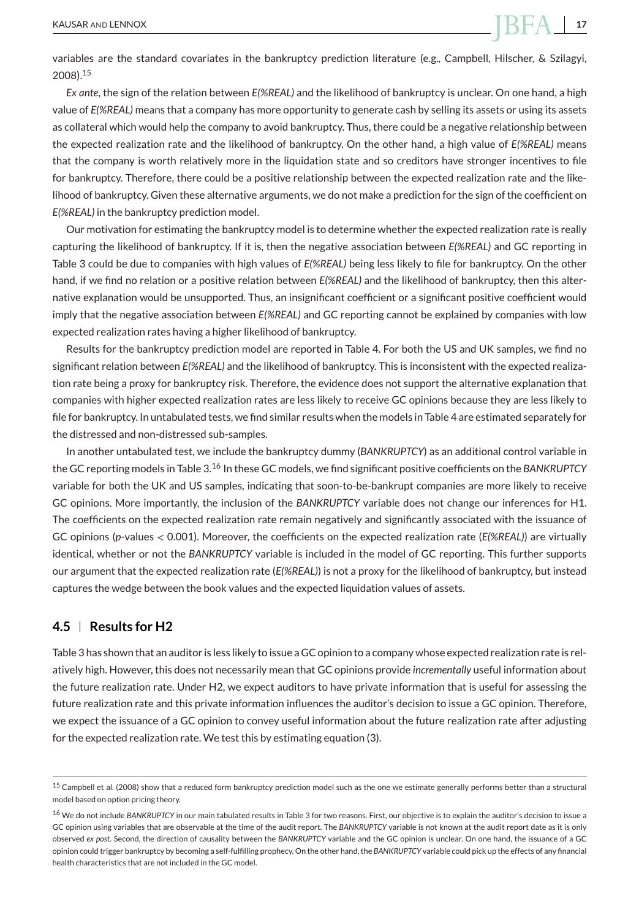variables are the standard covariates in the bankruptcy prediction literature (e.g., Campbell, Hilscher, & Szilagyi, 2008).<sup>15</sup>

*Ex ante*, the sign of the relation between *E(%REAL)* and the likelihood of bankruptcy is unclear. On one hand, a high value of *E(%REAL)* means that a company has more opportunity to generate cash by selling its assets or using its assets as collateral which would help the company to avoid bankruptcy. Thus, there could be a negative relationship between the expected realization rate and the likelihood of bankruptcy. On the other hand, a high value of *E(%REAL)* means that the company is worth relatively more in the liquidation state and so creditors have stronger incentives to file for bankruptcy. Therefore, there could be a positive relationship between the expected realization rate and the likelihood of bankruptcy. Given these alternative arguments, we do not make a prediction for the sign of the coefficient on *E(%REAL)* in the bankruptcy prediction model.

Our motivation for estimating the bankruptcy model is to determine whether the expected realization rate is really capturing the likelihood of bankruptcy. If it is, then the negative association between *E(%REAL)* and GC reporting in Table 3 could be due to companies with high values of *E(%REAL)* being less likely to file for bankruptcy. On the other hand, if we find no relation or a positive relation between *E(%REAL)* and the likelihood of bankruptcy, then this alternative explanation would be unsupported. Thus, an insignificant coefficient or a significant positive coefficient would imply that the negative association between *E(%REAL)* and GC reporting cannot be explained by companies with low expected realization rates having a higher likelihood of bankruptcy.

Results for the bankruptcy prediction model are reported in Table 4. For both the US and UK samples, we find no significant relation between *E(%REAL)* and the likelihood of bankruptcy. This is inconsistent with the expected realization rate being a proxy for bankruptcy risk. Therefore, the evidence does not support the alternative explanation that companies with higher expected realization rates are less likely to receive GC opinions because they are less likely to file for bankruptcy. In untabulated tests, we find similar results when the models in Table 4 are estimated separately for the distressed and non-distressed sub-samples.

In another untabulated test, we include the bankruptcy dummy (*BANKRUPTCY*) as an additional control variable in the GC reporting models in Table 3.<sup>16</sup> In these GC models, we find significant positive coefficients on the *BANKRUPTCY* variable for both the UK and US samples, indicating that soon-to-be-bankrupt companies are more likely to receive GC opinions. More importantly, the inclusion of the *BANKRUPTCY* variable does not change our inferences for H1. The coefficients on the expected realization rate remain negatively and significantly associated with the issuance of GC opinions (*p*-values *<* 0.001). Moreover, the coefficients on the expected realization rate (*E(%REAL)*) are virtually identical, whether or not the *BANKRUPTCY* variable is included in the model of GC reporting. This further supports our argument that the expected realization rate (*E(%REAL)*) is not a proxy for the likelihood of bankruptcy, but instead captures the wedge between the book values and the expected liquidation values of assets.

#### **4.5 Results for H2**

Table 3 has shown that an auditor is less likely to issue a GC opinion to a company whose expected realization rate is relatively high. However, this does not necessarily mean that GC opinions provide *incrementally* useful information about the future realization rate. Under H2, we expect auditors to have private information that is useful for assessing the future realization rate and this private information influences the auditor's decision to issue a GC opinion. Therefore, we expect the issuance of a GC opinion to convey useful information about the future realization rate after adjusting for the expected realization rate. We test this by estimating equation (3).

<sup>&</sup>lt;sup>15</sup> Campbell et al. (2008) show that a reduced form bankruptcy prediction model such as the one we estimate generally performs better than a structural model based on option pricing theory.

<sup>&</sup>lt;sup>16</sup> We do not include BANKRUPTCY in our main tabulated results in Table 3 for two reasons. First, our objective is to explain the auditor's decision to issue a GC opinion using variables that are observable at the time of the audit report. The *BANKRUPTCY* variable is not known at the audit report date as it is only observed *ex post*. Second, the direction of causality between the *BANKRUPTCY* variable and the GC opinion is unclear. On one hand, the issuance of a GC opinion could trigger bankruptcy by becoming a self-fulfilling prophecy. On the other hand, the *BANKRUPTCY* variable could pick up the effects of any financial health characteristics that are not included in the GC model.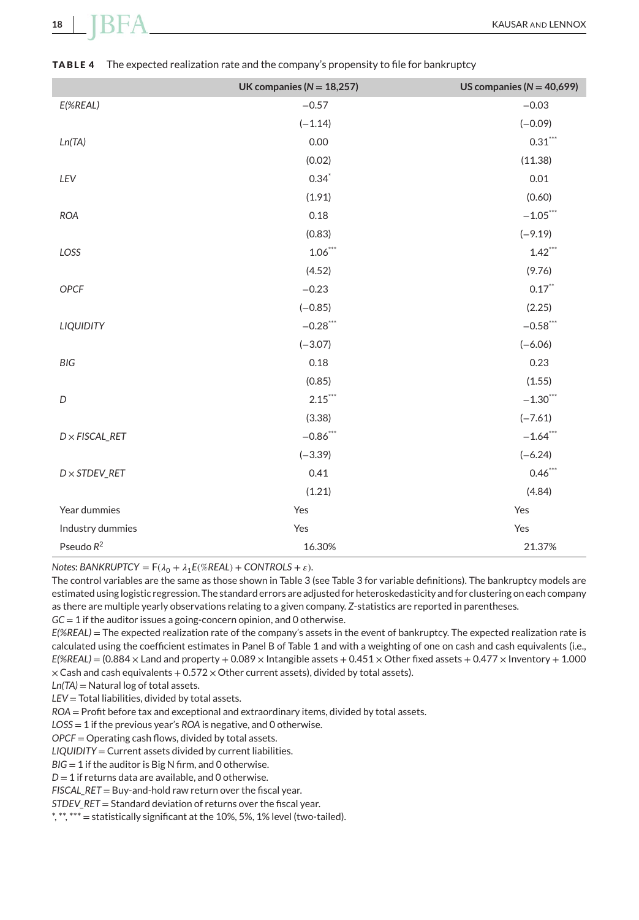|                                  | UK companies ( $N = 18,257$ ) | US companies ( $N = 40,699$ ) |
|----------------------------------|-------------------------------|-------------------------------|
| E(%REAL)                         | $-0.57$                       | $-0.03$                       |
|                                  | $(-1.14)$                     | $(-0.09)$                     |
| Ln(TA)                           | 0.00                          | $0.31***$                     |
|                                  | (0.02)                        | (11.38)                       |
| LEV                              | $0.34$ <sup>*</sup>           | 0.01                          |
|                                  | (1.91)                        | (0.60)                        |
| <b>ROA</b>                       | 0.18                          | $-1.05***$                    |
|                                  | (0.83)                        | $(-9.19)$                     |
| LOSS                             | $1.06***$                     | $1.42***$                     |
|                                  | (4.52)                        | (9.76)                        |
| OPCF                             | $-0.23$                       | $0.17***$                     |
|                                  | $(-0.85)$                     | (2.25)                        |
| <b>LIQUIDITY</b>                 | $-0.28$ ***                   | $-0.58$ ***                   |
|                                  | $(-3.07)$                     | $(-6.06)$                     |
| <b>BIG</b>                       | 0.18                          | 0.23                          |
|                                  | (0.85)                        | (1.55)                        |
| D                                | $2.15***$                     | $-1.30***$                    |
|                                  | (3.38)                        | $(-7.61)$                     |
| $D \times FISCAL$ <sub>RET</sub> | $-0.86$ ***                   | $-1.64$ ***                   |
|                                  | $(-3.39)$                     | $(-6.24)$                     |
| $D \times STDEV\_RET$            | 0.41                          | $0.46***$                     |
|                                  | (1.21)                        | (4.84)                        |
| Year dummies                     | Yes                           | Yes                           |
| Industry dummies                 | Yes                           | Yes                           |
| Pseudo $R^2$                     | 16.30%                        | 21.37%                        |

#### **TABLE 4** The expected realization rate and the company's propensity to file for bankruptcy

*Notes*: *BANKRUPTCY* =  $F(\lambda_0 + \lambda_1 E(\% REAL) + CONTROLS + \varepsilon)$ .

The control variables are the same as those shown in Table 3 (see Table 3 for variable definitions). The bankruptcy models are estimated using logistic regression. The standard errors are adjusted for heteroskedasticity and for clustering on each company as there are multiple yearly observations relating to a given company. *Z*-statistics are reported in parentheses.

*GC* = 1 if the auditor issues a going-concern opinion, and 0 otherwise.

*E(%REAL)* = The expected realization rate of the company's assets in the event of bankruptcy. The expected realization rate is calculated using the coefficient estimates in Panel B of Table 1 and with a weighting of one on cash and cash equivalents (i.e.,  $E$ <sup>(%REAL)</sup> = (0.884  $\times$  Land and property + 0.089  $\times$  Intangible assets + 0.451  $\times$  Other fixed assets + 0.477  $\times$  Inventory + 1.000  $\times$  Cash and cash equivalents + 0.572  $\times$  Other current assets), divided by total assets).

*Ln(TA)* = Natural log of total assets.

*LEV* = Total liabilities, divided by total assets.

*ROA* = Profit before tax and exceptional and extraordinary items, divided by total assets.

*LOSS* = 1 if the previous year's *ROA* is negative, and 0 otherwise.

*OPCF* = Operating cash flows, divided by total assets.

*LIQUIDITY* = Current assets divided by current liabilities.

*BIG* = 1 if the auditor is Big N firm, and 0 otherwise.

*D* = 1 if returns data are available, and 0 otherwise.

*FISCAL\_RET* = Buy-and-hold raw return over the fiscal year.

*STDEV\_RET* = Standard deviation of returns over the fiscal year.

\*, \*\*, \*\*\* = statistically significant at the 10%, 5%, 1% level (two-tailed).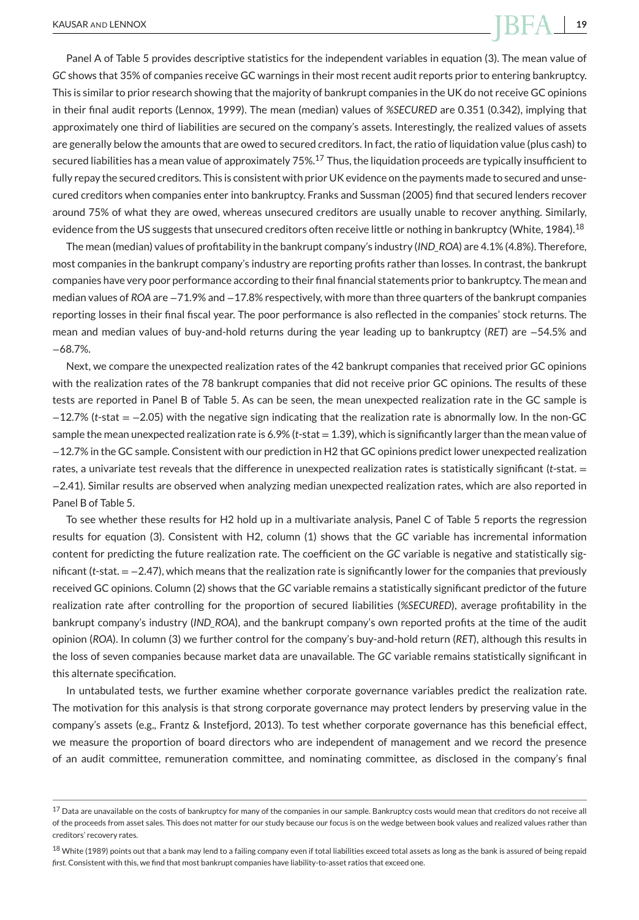Panel A of Table 5 provides descriptive statistics for the independent variables in equation (3). The mean value of *GC* shows that 35% of companies receive GC warnings in their most recent audit reports prior to entering bankruptcy. This is similar to prior research showing that the majority of bankrupt companies in the UK do not receive GC opinions in their final audit reports (Lennox, 1999). The mean (median) values of *%SECURED* are 0.351 (0.342), implying that approximately one third of liabilities are secured on the company's assets. Interestingly, the realized values of assets are generally below the amounts that are owed to secured creditors. In fact, the ratio of liquidation value (plus cash) to secured liabilities has a mean value of approximately  $75\frac{17}{10}$  Thus, the liquidation proceeds are typically insufficient to fully repay the secured creditors. This is consistent with prior UK evidence on the payments made to secured and unsecured creditors when companies enter into bankruptcy. Franks and Sussman (2005) find that secured lenders recover around 75% of what they are owed, whereas unsecured creditors are usually unable to recover anything. Similarly, evidence from the US suggests that unsecured creditors often receive little or nothing in bankruptcy (White, 1984).<sup>18</sup>

The mean (median) values of profitability in the bankrupt company's industry (*IND\_ROA*) are 4.1% (4.8%). Therefore, most companies in the bankrupt company's industry are reporting profits rather than losses. In contrast, the bankrupt companies have very poor performance according to their final financial statements prior to bankruptcy. The mean and median values of *ROA* are −71.9% and −17.8% respectively, with more than three quarters of the bankrupt companies reporting losses in their final fiscal year. The poor performance is also reflected in the companies' stock returns. The mean and median values of buy-and-hold returns during the year leading up to bankruptcy (*RET*) are −54.5% and −68.7%.

Next, we compare the unexpected realization rates of the 42 bankrupt companies that received prior GC opinions with the realization rates of the 78 bankrupt companies that did not receive prior GC opinions. The results of these tests are reported in Panel B of Table 5. As can be seen, the mean unexpected realization rate in the GC sample is −12.7% (*t*-stat = −2.05) with the negative sign indicating that the realization rate is abnormally low. In the non-GC sample the mean unexpected realization rate is 6.9% (*t*-stat = 1.39), which is significantly larger than the mean value of −12.7% in the GC sample. Consistent with our prediction in H2 that GC opinions predict lower unexpected realization rates, a univariate test reveals that the difference in unexpected realization rates is statistically significant (*t*-stat. = −2.41). Similar results are observed when analyzing median unexpected realization rates, which are also reported in Panel B of Table 5.

To see whether these results for H2 hold up in a multivariate analysis, Panel C of Table 5 reports the regression results for equation (3). Consistent with H2, column (1) shows that the *GC* variable has incremental information content for predicting the future realization rate. The coefficient on the *GC* variable is negative and statistically significant (*t*-stat. = −2.47), which means that the realization rate is significantly lower for the companies that previously received GC opinions. Column (2) shows that the *GC* variable remains a statistically significant predictor of the future realization rate after controlling for the proportion of secured liabilities (*%SECURED*), average profitability in the bankrupt company's industry (*IND\_ROA*), and the bankrupt company's own reported profits at the time of the audit opinion (*ROA*). In column (3) we further control for the company's buy-and-hold return (*RET*), although this results in the loss of seven companies because market data are unavailable. The *GC* variable remains statistically significant in this alternate specification.

In untabulated tests, we further examine whether corporate governance variables predict the realization rate. The motivation for this analysis is that strong corporate governance may protect lenders by preserving value in the company's assets (e.g., Frantz & Instefjord, 2013). To test whether corporate governance has this beneficial effect, we measure the proportion of board directors who are independent of management and we record the presence of an audit committee, remuneration committee, and nominating committee, as disclosed in the company's final

<sup>&</sup>lt;sup>17</sup> Data are unavailable on the costs of bankruptcy for many of the companies in our sample. Bankruptcy costs would mean that creditors do not receive all of the proceeds from asset sales. This does not matter for our study because our focus is on the wedge between book values and realized values rather than creditors' recovery rates.

<sup>18</sup> White (1989) points out that a bank may lend to a failing company even if total liabilities exceed total assets as long as the bank is assured of being repaid *first*. Consistent with this, we find that most bankrupt companies have liability-to-asset ratios that exceed one.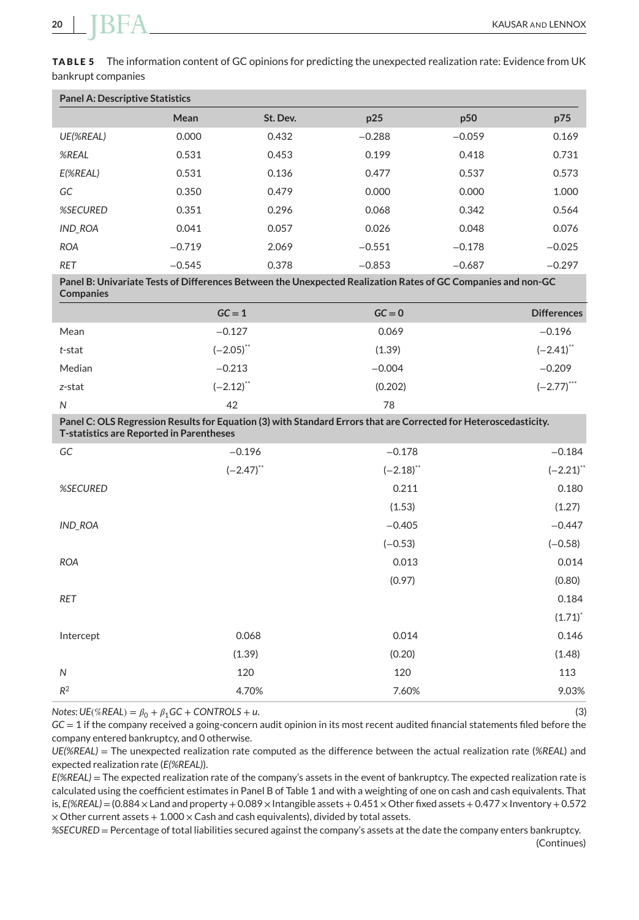**TABLE 5** The information content of GC opinions for predicting the unexpected realization rate: Evidence from UK bankrupt companies

| <b>Panel A: Descriptive Statistics</b> |          |          |          |                 |          |  |
|----------------------------------------|----------|----------|----------|-----------------|----------|--|
|                                        | Mean     | St. Dev. | p25      | p <sub>50</sub> | p75      |  |
| UE(%REAL)                              | 0.000    | 0.432    | $-0.288$ | $-0.059$        | 0.169    |  |
| %REAL                                  | 0.531    | 0.453    | 0.199    | 0.418           | 0.731    |  |
| E(%REAL)                               | 0.531    | 0.136    | 0.477    | 0.537           | 0.573    |  |
| GC                                     | 0.350    | 0.479    | 0.000    | 0.000           | 1.000    |  |
| <b>%SECURED</b>                        | 0.351    | 0.296    | 0.068    | 0.342           | 0.564    |  |
| <b>IND ROA</b>                         | 0.041    | 0.057    | 0.026    | 0.048           | 0.076    |  |
| <b>ROA</b>                             | $-0.719$ | 2.069    | $-0.551$ | $-0.178$        | $-0.025$ |  |
| <b>RET</b>                             | $-0.545$ | 0.378    | $-0.853$ | $-0.687$        | $-0.297$ |  |

**Panel B: Univariate Tests of Differences Between the Unexpected Realization Rates of GC Companies and non-GC Companies**

|        | $GC = 1$                | $GC = 0$ | <b>Differences</b> |
|--------|-------------------------|----------|--------------------|
| Mean   | $-0.127$                | 0.069    | $-0.196$           |
| t-stat | $(-2.05)$ **            | (1.39)   | $(-2.41)$ **       |
| Median | $-0.213$                | $-0.004$ | $-0.209$           |
| z-stat | $(-2.12)$ <sup>**</sup> | (0.202)  | $(-2.77)$ ***      |
| N      | 42                      | 78       |                    |

**Panel C: OLS Regression Results for Equation (3) with Standard Errors that are Corrected for Heteroscedasticity. T-statistics are Reported in Parentheses**

| GC             | $-0.196$     | $-0.178$     | $-0.184$     |
|----------------|--------------|--------------|--------------|
|                | $(-2.47)$ ** | $(-2.18)$ ** | $(-2.21)$ ** |
| %SECURED       |              | 0.211        | 0.180        |
|                |              | (1.53)       | (1.27)       |
| <b>IND_ROA</b> |              | $-0.405$     | $-0.447$     |
|                |              | $(-0.53)$    | $(-0.58)$    |
| <b>ROA</b>     |              | 0.013        | 0.014        |
|                |              | (0.97)       | (0.80)       |
| RET            |              |              | 0.184        |
|                |              |              | $(1.71)^{*}$ |
| Intercept      | 0.068        | 0.014        | 0.146        |
|                | (1.39)       | (0.20)       | (1.48)       |
| $\mathsf{N}$   | 120          | 120          | 113          |
| $R^2$          | 4.70%        | 7.60%        | 9.03%        |
|                |              |              |              |

 $Notes: UE(\% REAL) = \beta_0 + \beta_1 GC + CONTROLS + u.$  (3)

*GC* = 1 if the company received a going-concern audit opinion in its most recent audited financial statements filed before the company entered bankruptcy, and 0 otherwise.

*UE(%REAL)* = The unexpected realization rate computed as the difference between the actual realization rate (*%REAL*) and expected realization rate (*E(%REAL)*).

*E(%REAL)* = The expected realization rate of the company's assets in the event of bankruptcy. The expected realization rate is calculated using the coefficient estimates in Panel B of Table 1 and with a weighting of one on cash and cash equivalents. That is,  $E(\%REAL) = (0.884 \times$  Land and property + 0.089  $\times$  Intangible assets + 0.451  $\times$  Other fixed assets + 0.477  $\times$  Inventory + 0.572  $\times$  Other current assets + 1.000  $\times$  Cash and cash equivalents), divided by total assets.

*%SECURED* = Percentage of total liabilities secured against the company's assets at the date the company enters bankruptcy. (Continues)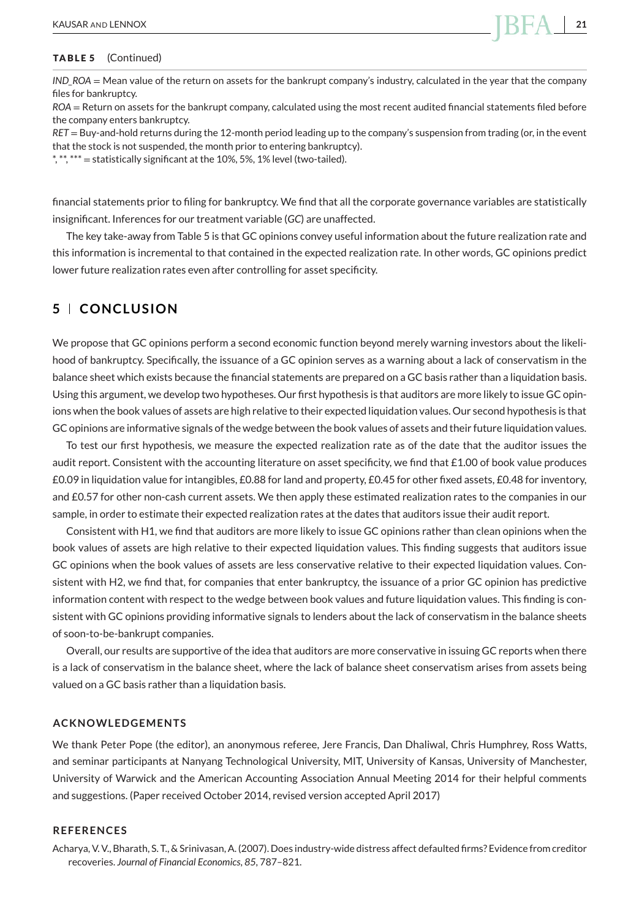*IND\_ROA* = Mean value of the return on assets for the bankrupt company's industry, calculated in the year that the company files for bankruptcy.

*ROA* = Return on assets for the bankrupt company, calculated using the most recent audited financial statements filed before the company enters bankruptcy.

*RET* = Buy-and-hold returns during the 12-month period leading up to the company's suspension from trading (or, in the event that the stock is not suspended, the month prior to entering bankruptcy).

\*, \*\*, \*\*\* = statistically significant at the 10%, 5%, 1% level (two-tailed).

financial statements prior to filing for bankruptcy. We find that all the corporate governance variables are statistically insignificant. Inferences for our treatment variable (*GC*) are unaffected.

The key take-away from Table 5 is that GC opinions convey useful information about the future realization rate and this information is incremental to that contained in the expected realization rate. In other words, GC opinions predict lower future realization rates even after controlling for asset specificity.

#### **5 CONCLUSION**

We propose that GC opinions perform a second economic function beyond merely warning investors about the likelihood of bankruptcy. Specifically, the issuance of a GC opinion serves as a warning about a lack of conservatism in the balance sheet which exists because the financial statements are prepared on a GC basis rather than a liquidation basis. Using this argument, we develop two hypotheses. Our first hypothesis is that auditors are more likely to issue GC opinions when the book values of assets are high relative to their expected liquidation values. Our second hypothesis is that GC opinions are informative signals of the wedge between the book values of assets and their future liquidation values.

To test our first hypothesis, we measure the expected realization rate as of the date that the auditor issues the audit report. Consistent with the accounting literature on asset specificity, we find that £1.00 of book value produces £0.09 in liquidation value for intangibles, £0.88 for land and property, £0.45 for other fixed assets, £0.48 for inventory, and £0.57 for other non-cash current assets. We then apply these estimated realization rates to the companies in our sample, in order to estimate their expected realization rates at the dates that auditors issue their audit report.

Consistent with H1, we find that auditors are more likely to issue GC opinions rather than clean opinions when the book values of assets are high relative to their expected liquidation values. This finding suggests that auditors issue GC opinions when the book values of assets are less conservative relative to their expected liquidation values. Consistent with H2, we find that, for companies that enter bankruptcy, the issuance of a prior GC opinion has predictive information content with respect to the wedge between book values and future liquidation values. This finding is consistent with GC opinions providing informative signals to lenders about the lack of conservatism in the balance sheets of soon-to-be-bankrupt companies.

Overall, our results are supportive of the idea that auditors are more conservative in issuing GC reports when there is a lack of conservatism in the balance sheet, where the lack of balance sheet conservatism arises from assets being valued on a GC basis rather than a liquidation basis.

#### **ACKNOWLEDGEMENTS**

We thank Peter Pope (the editor), an anonymous referee, Jere Francis, Dan Dhaliwal, Chris Humphrey, Ross Watts, and seminar participants at Nanyang Technological University, MIT, University of Kansas, University of Manchester, University of Warwick and the American Accounting Association Annual Meeting 2014 for their helpful comments and suggestions. (Paper received October 2014, revised version accepted April 2017)

#### **REFERENCES**

Acharya, V. V., Bharath, S. T., & Srinivasan, A. (2007). Does industry-wide distress affect defaulted firms? Evidence from creditor recoveries. *Journal of Financial Economics*, *85*, 787–821.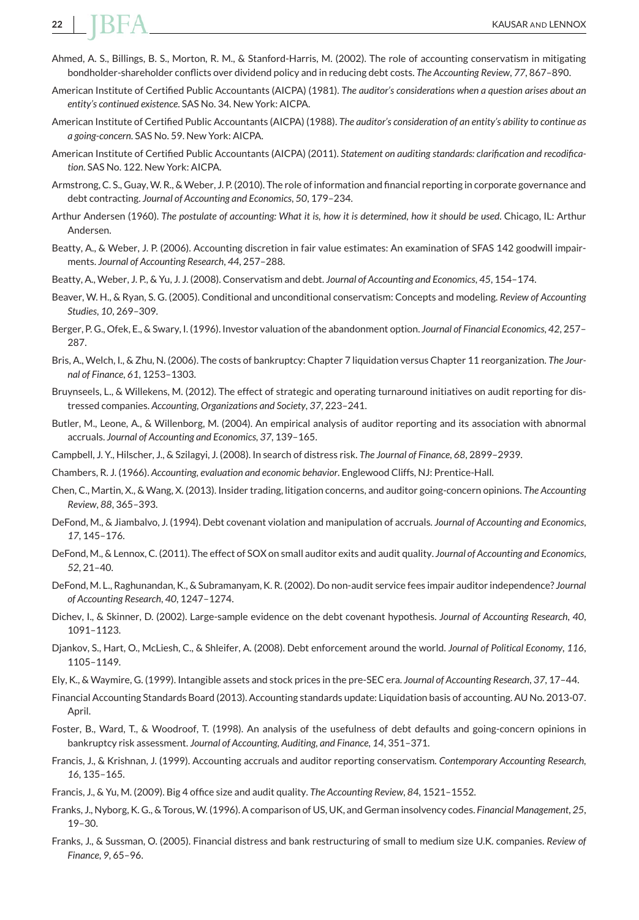- Ahmed, A. S., Billings, B. S., Morton, R. M., & Stanford-Harris, M. (2002). The role of accounting conservatism in mitigating bondholder-shareholder conflicts over dividend policy and in reducing debt costs. *The Accounting Review*, *77*, 867–890.
- American Institute of Certified Public Accountants (AICPA) (1981). *The auditor's considerations when a question arises about an entity's continued existence*. SAS No. 34. New York: AICPA.
- American Institute of Certified Public Accountants (AICPA) (1988). *The auditor's consideration of an entity's ability to continue as a going-concern*. SAS No. 59. New York: AICPA.
- American Institute of Certified Public Accountants (AICPA) (2011). *Statement on auditing standards: clarification and recodification*. SAS No. 122. New York: AICPA.
- Armstrong, C. S., Guay,W. R., & Weber, J. P. (2010). The role of information and financial reporting in corporate governance and debt contracting. *Journal of Accounting and Economics*, *50*, 179–234.
- Arthur Andersen (1960). *The postulate of accounting: What it is, how it is determined, how it should be used*. Chicago, IL: Arthur Andersen.
- Beatty, A., & Weber, J. P. (2006). Accounting discretion in fair value estimates: An examination of SFAS 142 goodwill impairments. *Journal of Accounting Research*, *44*, 257–288.
- Beatty, A., Weber, J. P., & Yu, J. J. (2008). Conservatism and debt. *Journal of Accounting and Economics*, *45*, 154–174.
- Beaver, W. H., & Ryan, S. G. (2005). Conditional and unconditional conservatism: Concepts and modeling. *Review of Accounting Studies*, *10*, 269–309.
- Berger, P. G., Ofek, E., & Swary, I. (1996). Investor valuation of the abandonment option. *Journal of Financial Economics*, *42*, 257– 287.
- Bris, A., Welch, I., & Zhu, N. (2006). The costs of bankruptcy: Chapter 7 liquidation versus Chapter 11 reorganization. *The Journal of Finance*, *61*, 1253–1303.
- Bruynseels, L., & Willekens, M. (2012). The effect of strategic and operating turnaround initiatives on audit reporting for distressed companies. *Accounting, Organizations and Society*, *37*, 223–241.
- Butler, M., Leone, A., & Willenborg, M. (2004). An empirical analysis of auditor reporting and its association with abnormal accruals. *Journal of Accounting and Economics*, *37*, 139–165.
- Campbell, J. Y., Hilscher, J., & Szilagyi, J. (2008). In search of distress risk. *The Journal of Finance*, *68*, 2899–2939.
- Chambers, R. J. (1966). *Accounting, evaluation and economic behavior*. Englewood Cliffs, NJ: Prentice-Hall.
- Chen, C., Martin, X., & Wang, X. (2013). Insider trading, litigation concerns, and auditor going-concern opinions. *The Accounting Review*, *88*, 365–393.
- DeFond, M., & Jiambalvo, J. (1994). Debt covenant violation and manipulation of accruals. *Journal of Accounting and Economics*, *17*, 145–176.
- DeFond, M., & Lennox, C. (2011). The effect of SOX on small auditor exits and audit quality. *Journal of Accounting and Economics*, *52*, 21–40.
- DeFond, M. L., Raghunandan, K., & Subramanyam, K. R. (2002). Do non-audit service fees impair auditor independence? *Journal of Accounting Research*, *40*, 1247–1274.
- Dichev, I., & Skinner, D. (2002). Large-sample evidence on the debt covenant hypothesis. *Journal of Accounting Research*, *40*, 1091–1123.
- Djankov, S., Hart, O., McLiesh, C., & Shleifer, A. (2008). Debt enforcement around the world. *Journal of Political Economy*, *116*, 1105–1149.
- Ely, K., & Waymire, G. (1999). Intangible assets and stock prices in the pre-SEC era. *Journal of Accounting Research*, *37*, 17–44.
- Financial Accounting Standards Board (2013). Accounting standards update: Liquidation basis of accounting. AU No. 2013-07. April.
- Foster, B., Ward, T., & Woodroof, T. (1998). An analysis of the usefulness of debt defaults and going-concern opinions in bankruptcy risk assessment. *Journal of Accounting, Auditing, and Finance*, *14*, 351–371.
- Francis, J., & Krishnan, J. (1999). Accounting accruals and auditor reporting conservatism. *Contemporary Accounting Research*, *16*, 135–165.
- Francis, J., & Yu, M. (2009). Big 4 office size and audit quality. *The Accounting Review*, *84*, 1521–1552.
- Franks, J., Nyborg, K. G., & Torous, W. (1996). A comparison of US, UK, and German insolvency codes. *Financial Management*, *25*, 19–30.
- Franks, J., & Sussman, O. (2005). Financial distress and bank restructuring of small to medium size U.K. companies. *Review of Finance*, *9*, 65–96.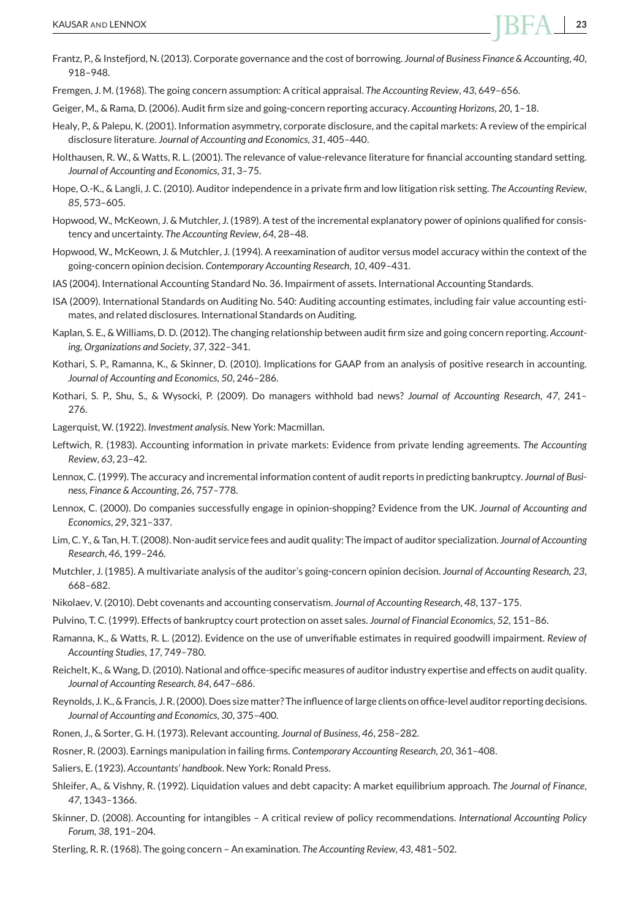

- Frantz, P., & Instefjord, N. (2013). Corporate governance and the cost of borrowing. *Journal of Business Finance & Accounting*, *40*, 918–948.
- Fremgen, J. M. (1968). The going concern assumption: A critical appraisal. *The Accounting Review*, *43*, 649–656.
- Geiger, M., & Rama, D. (2006). Audit firm size and going-concern reporting accuracy. *Accounting Horizons*, *20*, 1–18.
- Healy, P., & Palepu, K. (2001). Information asymmetry, corporate disclosure, and the capital markets: A review of the empirical disclosure literature. *Journal of Accounting and Economics*, *31*, 405–440.
- Holthausen, R. W., & Watts, R. L. (2001). The relevance of value-relevance literature for financial accounting standard setting. *Journal of Accounting and Economics*, *31*, 3–75.
- Hope, O.-K., & Langli, J. C. (2010). Auditor independence in a private firm and low litigation risk setting. *The Accounting Review*, *85*, 573–605.
- Hopwood, W., McKeown, J. & Mutchler, J. (1989). A test of the incremental explanatory power of opinions qualified for consistency and uncertainty. *The Accounting Review*, *64*, 28–48.
- Hopwood, W., McKeown, J. & Mutchler, J. (1994). A reexamination of auditor versus model accuracy within the context of the going-concern opinion decision. *Contemporary Accounting Research*, *10*, 409–431.
- IAS (2004). International Accounting Standard No. 36. Impairment of assets. International Accounting Standards.
- ISA (2009). International Standards on Auditing No. 540: Auditing accounting estimates, including fair value accounting estimates, and related disclosures. International Standards on Auditing.
- Kaplan, S. E., & Williams, D. D. (2012). The changing relationship between audit firm size and going concern reporting. *Accounting, Organizations and Society*, *37*, 322–341.
- Kothari, S. P., Ramanna, K., & Skinner, D. (2010). Implications for GAAP from an analysis of positive research in accounting. *Journal of Accounting and Economics*, *50*, 246–286.
- Kothari, S. P., Shu, S., & Wysocki, P. (2009). Do managers withhold bad news? *Journal of Accounting Research*, *47*, 241– 276.
- Lagerquist, W. (1922). *Investment analysis*. New York: Macmillan.
- Leftwich, R. (1983). Accounting information in private markets: Evidence from private lending agreements. *The Accounting Review*, *63*, 23–42.
- Lennox, C. (1999). The accuracy and incremental information content of audit reports in predicting bankruptcy. *Journal of Business, Finance & Accounting*, *26*, 757–778.
- Lennox, C. (2000). Do companies successfully engage in opinion-shopping? Evidence from the UK. *Journal of Accounting and Economics*, *29*, 321–337.
- Lim, C. Y., & Tan, H. T. (2008). Non-audit service fees and audit quality: The impact of auditor specialization. *Journal of Accounting Research*, *46*, 199–246.
- Mutchler, J. (1985). A multivariate analysis of the auditor's going-concern opinion decision. *Journal of Accounting Research*, *23*, 668–682.
- Nikolaev, V. (2010). Debt covenants and accounting conservatism. *Journal of Accounting Research*, *48*, 137–175.
- Pulvino, T. C. (1999). Effects of bankruptcy court protection on asset sales. *Journal of Financial Economics*, *52*, 151–86.
- Ramanna, K., & Watts, R. L. (2012). Evidence on the use of unverifiable estimates in required goodwill impairment. *Review of Accounting Studies*, *17*, 749–780.
- Reichelt, K., & Wang, D. (2010). National and office-specific measures of auditor industry expertise and effects on audit quality. *Journal of Accounting Research*, *84*, 647–686.
- Reynolds, J. K., & Francis, J. R. (2000). Does size matter? The influence of large clients on office-level auditor reporting decisions. *Journal of Accounting and Economics*, *30*, 375–400.
- Ronen, J., & Sorter, G. H. (1973). Relevant accounting. *Journal of Business*, *46*, 258–282.
- Rosner, R. (2003). Earnings manipulation in failing firms. *Contemporary Accounting Research*, *20*, 361–408.
- Saliers, E. (1923). *Accountants' handbook*. New York: Ronald Press.
- Shleifer, A., & Vishny, R. (1992). Liquidation values and debt capacity: A market equilibrium approach. *The Journal of Finance*, *47*, 1343–1366.
- Skinner, D. (2008). Accounting for intangibles A critical review of policy recommendations. *International Accounting Policy Forum*, *38*, 191–204.
- Sterling, R. R. (1968). The going concern An examination. *The Accounting Review*, *43*, 481–502.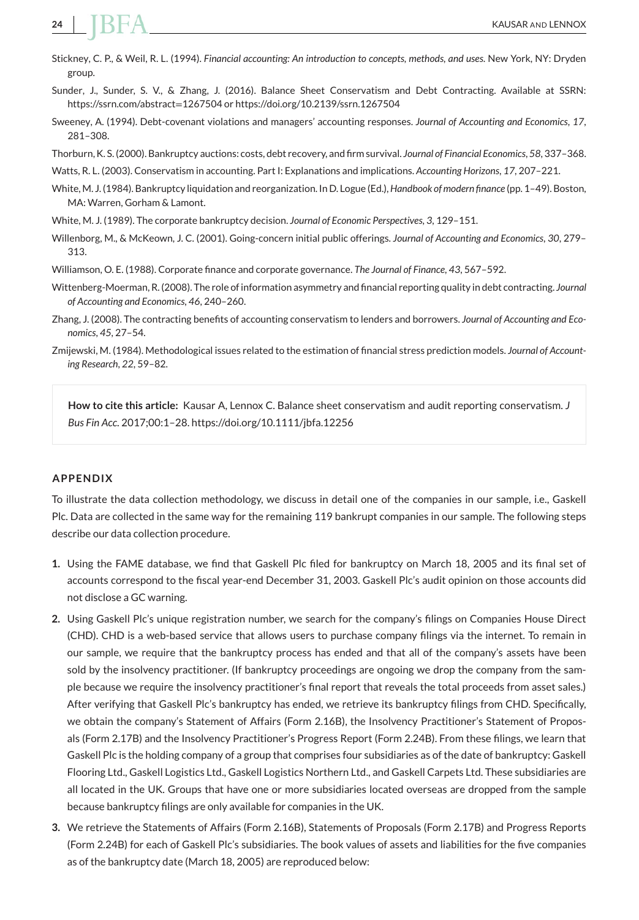- Stickney, C. P., & Weil, R. L. (1994). *Financial accounting: An introduction to concepts, methods, and uses*. New York, NY: Dryden group.
- Sunder, J., Sunder, S. V., & Zhang, J. (2016). Balance Sheet Conservatism and Debt Contracting. Available at SSRN: [https://ssrn.com/abstract](https://ssrn.com/abstract=1267504)=1267504 or<https://doi.org/10.2139/ssrn.1267504>
- Sweeney, A. (1994). Debt-covenant violations and managers' accounting responses. *Journal of Accounting and Economics*, *17*, 281–308.
- Thorburn, K. S. (2000). Bankruptcy auctions: costs, debt recovery, and firm survival. *Journal of Financial Economics*, *58*, 337–368.
- Watts, R. L. (2003). Conservatism in accounting. Part I: Explanations and implications. *Accounting Horizons*, *17*, 207–221.
- White, M. J. (1984). Bankruptcy liquidation and reorganization. In D. Logue (Ed.),*Handbook of modern finance* (pp. 1–49). Boston, MA: Warren, Gorham & Lamont.
- White, M. J. (1989). The corporate bankruptcy decision. *Journal of Economic Perspectives*, *3*, 129–151.
- Willenborg, M., & McKeown, J. C. (2001). Going-concern initial public offerings. *Journal of Accounting and Economics*, *30*, 279– 313.
- Williamson, O. E. (1988). Corporate finance and corporate governance. *The Journal of Finance*, *43*, 567–592.
- Wittenberg-Moerman, R. (2008). The role of information asymmetry and financial reporting quality in debt contracting. *Journal of Accounting and Economics*, *46*, 240–260.
- Zhang, J. (2008). The contracting benefits of accounting conservatism to lenders and borrowers. *Journal of Accounting and Economics*, *45*, 27–54.
- Zmijewski, M. (1984). Methodological issues related to the estimation of financial stress prediction models. *Journal of Accounting Research*, *22*, 59–82.

**How to cite this article:** Kausar A, Lennox C. Balance sheet conservatism and audit reporting conservatism. *J Bus Fin Acc*. 2017;00:1–28.<https://doi.org/10.1111/jbfa.12256>

#### **APPENDIX**

To illustrate the data collection methodology, we discuss in detail one of the companies in our sample, i.e., Gaskell Plc. Data are collected in the same way for the remaining 119 bankrupt companies in our sample. The following steps describe our data collection procedure.

- **1.** Using the FAME database, we find that Gaskell Plc filed for bankruptcy on March 18, 2005 and its final set of accounts correspond to the fiscal year-end December 31, 2003. Gaskell Plc's audit opinion on those accounts did not disclose a GC warning.
- **2.** Using Gaskell Plc's unique registration number, we search for the company's filings on Companies House Direct (CHD). CHD is a web-based service that allows users to purchase company filings via the internet. To remain in our sample, we require that the bankruptcy process has ended and that all of the company's assets have been sold by the insolvency practitioner. (If bankruptcy proceedings are ongoing we drop the company from the sample because we require the insolvency practitioner's final report that reveals the total proceeds from asset sales.) After verifying that Gaskell Plc's bankruptcy has ended, we retrieve its bankruptcy filings from CHD. Specifically, we obtain the company's Statement of Affairs (Form 2.16B), the Insolvency Practitioner's Statement of Proposals (Form 2.17B) and the Insolvency Practitioner's Progress Report (Form 2.24B). From these filings, we learn that Gaskell Plc is the holding company of a group that comprises four subsidiaries as of the date of bankruptcy: Gaskell Flooring Ltd., Gaskell Logistics Ltd., Gaskell Logistics Northern Ltd., and Gaskell Carpets Ltd. These subsidiaries are all located in the UK. Groups that have one or more subsidiaries located overseas are dropped from the sample because bankruptcy filings are only available for companies in the UK.
- **3.** We retrieve the Statements of Affairs (Form 2.16B), Statements of Proposals (Form 2.17B) and Progress Reports (Form 2.24B) for each of Gaskell Plc's subsidiaries. The book values of assets and liabilities for the five companies as of the bankruptcy date (March 18, 2005) are reproduced below: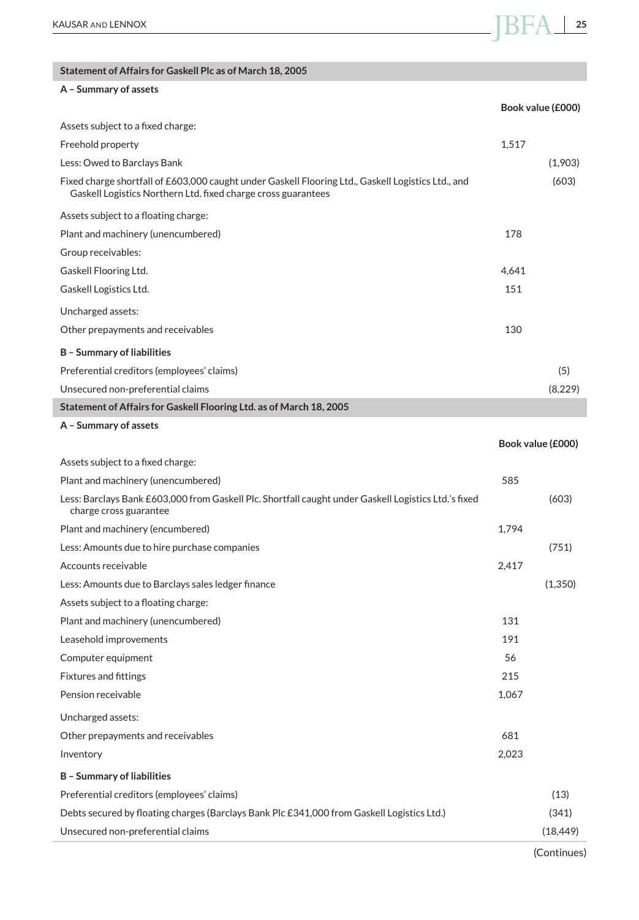#### **Statement of Affairs for Gaskell Plc as of March 18, 2005**

### **A – Summary of assets Book value (£000)** Assets subject to a fixed charge: Freehold property 1,517 Less: Owed to Barclays Bank (1,903) Fixed charge shortfall of £603,000 caught under Gaskell Flooring Ltd., Gaskell Logistics Ltd., and Gaskell Logistics Northern Ltd. fixed charge cross guarantees (603) Assets subject to a floating charge: Plant and machinery (unencumbered) 178 Group receivables: Gaskell Flooring Ltd. 4,641 Gaskell Logistics Ltd. 151 Uncharged assets: Other prepayments and receivables 130 **B – Summary of liabilities** Preferential creditors (employees' claims) (5) Unsecured non-preferential claims (8,229) **Statement of Affairs for Gaskell Flooring Ltd. as of March 18, 2005 A – Summary of assets Book value (£000)** Assets subject to a fixed charge:

| Plant and machinery (unencumbered)                                                                                             | 585   |           |
|--------------------------------------------------------------------------------------------------------------------------------|-------|-----------|
| Less: Barclays Bank £603,000 from Gaskell Plc. Shortfall caught under Gaskell Logistics Ltd.'s fixed<br>charge cross guarantee |       | (603)     |
| Plant and machinery (encumbered)                                                                                               | 1,794 |           |
| Less: Amounts due to hire purchase companies                                                                                   |       | (751)     |
| Accounts receivable                                                                                                            | 2,417 |           |
| Less: Amounts due to Barclays sales ledger finance                                                                             |       | (1,350)   |
| Assets subject to a floating charge:                                                                                           |       |           |
| Plant and machinery (unencumbered)                                                                                             | 131   |           |
| Leasehold improvements                                                                                                         | 191   |           |
| Computer equipment                                                                                                             | 56    |           |
| <b>Fixtures and fittings</b>                                                                                                   | 215   |           |
| Pension receivable                                                                                                             | 1,067 |           |
| Uncharged assets:                                                                                                              |       |           |
| Other prepayments and receivables                                                                                              | 681   |           |
| Inventory                                                                                                                      | 2,023 |           |
| <b>B</b> - Summary of liabilities                                                                                              |       |           |
| Preferential creditors (employees' claims)                                                                                     |       | (13)      |
| Debts secured by floating charges (Barclays Bank Plc £341,000 from Gaskell Logistics Ltd.)                                     |       | (341)     |
| Unsecured non-preferential claims                                                                                              |       | (18, 449) |
|                                                                                                                                |       |           |

(Continues)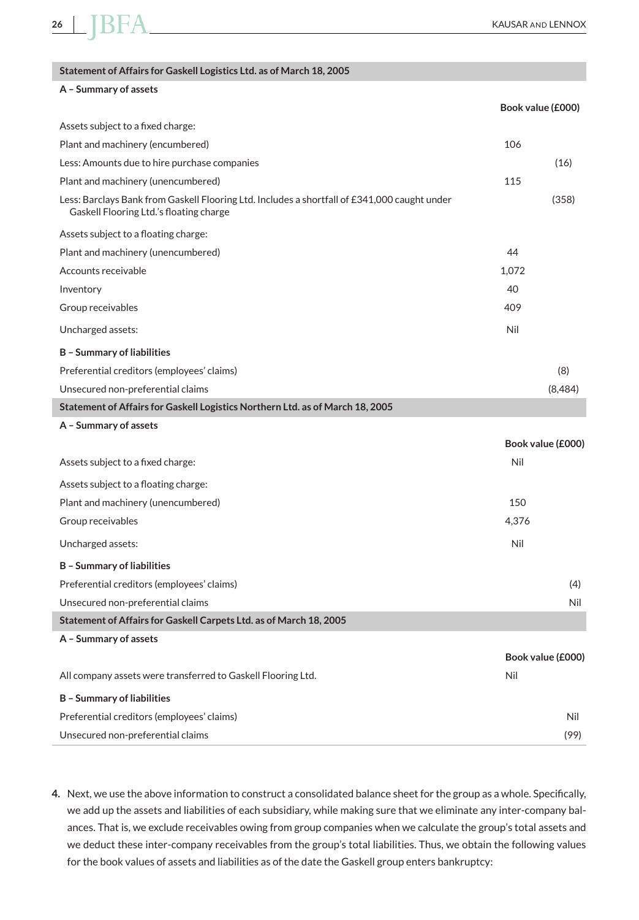| Statement of Affairs for Gaskell Logistics Ltd. as of March 18, 2005                                                                    |       |                   |
|-----------------------------------------------------------------------------------------------------------------------------------------|-------|-------------------|
| A - Summary of assets                                                                                                                   |       |                   |
|                                                                                                                                         |       | Book value (£000) |
| Assets subject to a fixed charge:                                                                                                       |       |                   |
| Plant and machinery (encumbered)                                                                                                        | 106   |                   |
| Less: Amounts due to hire purchase companies                                                                                            |       | (16)              |
| Plant and machinery (unencumbered)                                                                                                      | 115   |                   |
| Less: Barclays Bank from Gaskell Flooring Ltd. Includes a shortfall of £341,000 caught under<br>Gaskell Flooring Ltd.'s floating charge |       | (358)             |
| Assets subject to a floating charge:                                                                                                    |       |                   |
| Plant and machinery (unencumbered)                                                                                                      | 44    |                   |
| Accounts receivable                                                                                                                     | 1.072 |                   |
| Inventory                                                                                                                               | 40    |                   |
| Group receivables                                                                                                                       | 409   |                   |
| Uncharged assets:                                                                                                                       | Nil   |                   |
| <b>B</b> - Summary of liabilities                                                                                                       |       |                   |
| Preferential creditors (employees' claims)                                                                                              |       | (8)               |
| Unsecured non-preferential claims                                                                                                       |       | (8,484)           |
| Statement of Affairs for Gaskell Logistics Northern Ltd. as of March 18, 2005                                                           |       |                   |
| A - Summary of assets                                                                                                                   |       |                   |
|                                                                                                                                         |       | Book value (£000) |
| Assets subject to a fixed charge:                                                                                                       | Nil   |                   |
| Assets subject to a floating charge:                                                                                                    |       |                   |
| Plant and machinery (unencumbered)                                                                                                      | 150   |                   |
| Group receivables                                                                                                                       | 4,376 |                   |
| Uncharged assets:                                                                                                                       | Nil   |                   |
| <b>B</b> - Summary of liabilities                                                                                                       |       |                   |
| Preferential creditors (employees' claims)                                                                                              |       | (4)               |
| Unsecured non-preferential claims                                                                                                       |       | Nil               |
| Statement of Affairs for Gaskell Carpets Ltd. as of March 18, 2005                                                                      |       |                   |
| A - Summary of assets                                                                                                                   |       |                   |
|                                                                                                                                         |       | Book value (£000) |
| All company assets were transferred to Gaskell Flooring Ltd.                                                                            | Nil   |                   |
| <b>B</b> - Summary of liabilities                                                                                                       |       |                   |
| Preferential creditors (employees' claims)                                                                                              |       | Nil               |
| Unsecured non-preferential claims                                                                                                       |       | (99)              |

**4.** Next, we use the above information to construct a consolidated balance sheet for the group as a whole. Specifically, we add up the assets and liabilities of each subsidiary, while making sure that we eliminate any inter-company balances. That is, we exclude receivables owing from group companies when we calculate the group's total assets and we deduct these inter-company receivables from the group's total liabilities. Thus, we obtain the following values for the book values of assets and liabilities as of the date the Gaskell group enters bankruptcy: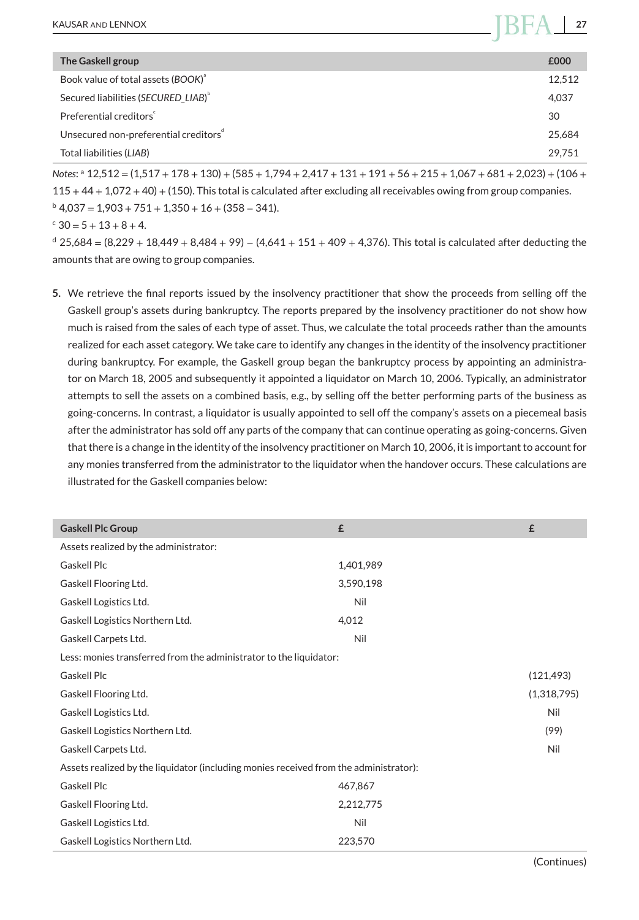| The Gaskell group                                 | £000   |
|---------------------------------------------------|--------|
| Book value of total assets (BOOK) <sup>a</sup>    | 12.512 |
| Secured liabilities (SECURED LIAB) <sup>b</sup>   | 4,037  |
| Preferential creditors                            | 30     |
| Unsecured non-preferential creditors <sup>d</sup> | 25.684 |
| Total liabilities (LIAB)                          | 29.751 |

*Notes*: <sup>a</sup> 12,512 = (1,517 + 178 + 130) + (585 + 1,794 + 2,417 + 131 + 191 + 56 + 215 + 1,067 + 681 + 2,023) + (106 + 115 + 44 + 1,072 + 40) + (150). This total is calculated after excluding all receivables owing from group companies.  $b$  4,037 = 1,903 + 751 + 1,350 + 16 + (358 - 341).

 $\epsilon$  30 = 5 + 13 + 8 + 4.

<sup>d</sup> 25,684 = (8,229 + 18,449 + 8,484 + 99) − (4,641 + 151 + 409 + 4,376). This total is calculated after deducting the amounts that are owing to group companies.

**5.** We retrieve the final reports issued by the insolvency practitioner that show the proceeds from selling off the Gaskell group's assets during bankruptcy. The reports prepared by the insolvency practitioner do not show how much is raised from the sales of each type of asset. Thus, we calculate the total proceeds rather than the amounts realized for each asset category. We take care to identify any changes in the identity of the insolvency practitioner during bankruptcy. For example, the Gaskell group began the bankruptcy process by appointing an administrator on March 18, 2005 and subsequently it appointed a liquidator on March 10, 2006. Typically, an administrator attempts to sell the assets on a combined basis, e.g., by selling off the better performing parts of the business as going-concerns. In contrast, a liquidator is usually appointed to sell off the company's assets on a piecemeal basis after the administrator has sold off any parts of the company that can continue operating as going-concerns. Given that there is a change in the identity of the insolvency practitioner on March 10, 2006, it is important to account for any monies transferred from the administrator to the liquidator when the handover occurs. These calculations are illustrated for the Gaskell companies below:

| <b>Gaskell Plc Group</b>                                                              | £         | £           |
|---------------------------------------------------------------------------------------|-----------|-------------|
| Assets realized by the administrator:                                                 |           |             |
| Gaskell Plc                                                                           | 1,401,989 |             |
| Gaskell Flooring Ltd.                                                                 | 3,590,198 |             |
| Gaskell Logistics Ltd.                                                                | Nil       |             |
| Gaskell Logistics Northern Ltd.                                                       | 4,012     |             |
| Gaskell Carpets Ltd.                                                                  | Nil       |             |
| Less: monies transferred from the administrator to the liquidator:                    |           |             |
| Gaskell Plc                                                                           |           | (121, 493)  |
| Gaskell Flooring Ltd.                                                                 |           | (1,318,795) |
| Gaskell Logistics Ltd.                                                                |           | Nil         |
| Gaskell Logistics Northern Ltd.                                                       |           | (99)        |
| Gaskell Carpets Ltd.                                                                  |           | Nil         |
| Assets realized by the liquidator (including monies received from the administrator): |           |             |
| <b>Gaskell Plc</b>                                                                    | 467,867   |             |
| Gaskell Flooring Ltd.                                                                 | 2,212,775 |             |
| Gaskell Logistics Ltd.                                                                | Nil       |             |
| Gaskell Logistics Northern Ltd.                                                       | 223,570   |             |